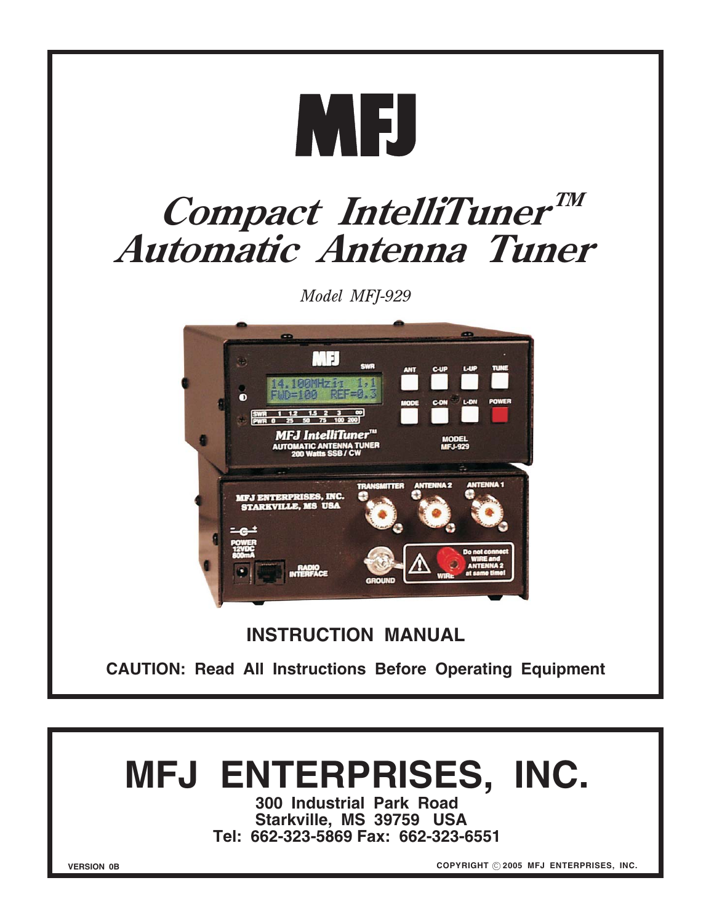

# **MFJ ENTERPRISES, INC.**

**300 Industrial Park Road Starkville, MS 39759 USA Tel: 662-323-5869 Fax: 662-323-6551**

**VERSION 0B**

**COPYRIGHT @2005 MFJ ENTERPRISES, INC.**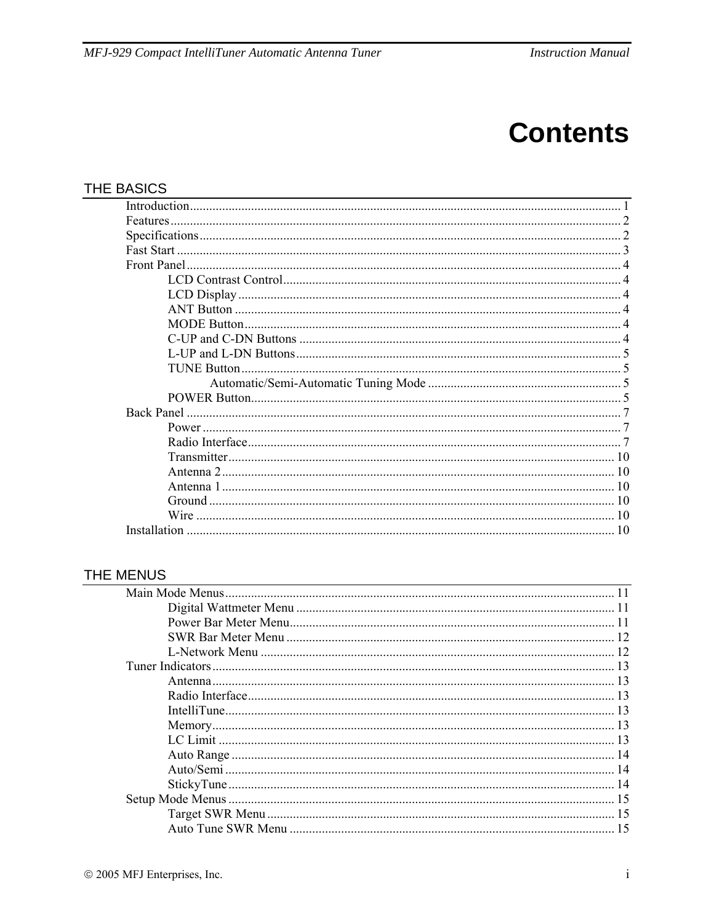# **Contents**

# THE BASICS

| Features.           |  |
|---------------------|--|
|                     |  |
|                     |  |
|                     |  |
|                     |  |
|                     |  |
|                     |  |
|                     |  |
|                     |  |
|                     |  |
| <b>TUNE Button.</b> |  |
|                     |  |
|                     |  |
|                     |  |
|                     |  |
|                     |  |
|                     |  |
| Antenna 2           |  |
|                     |  |
|                     |  |
|                     |  |
|                     |  |
|                     |  |

# THE MENUS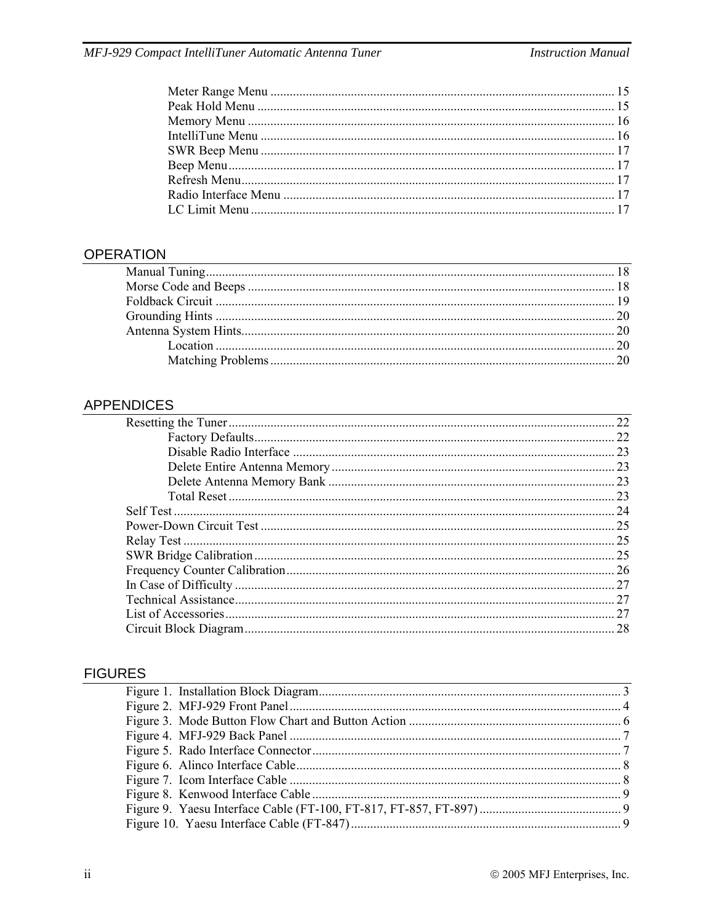# **OPERATION**

## **APPENDICES**

# **FIGURES**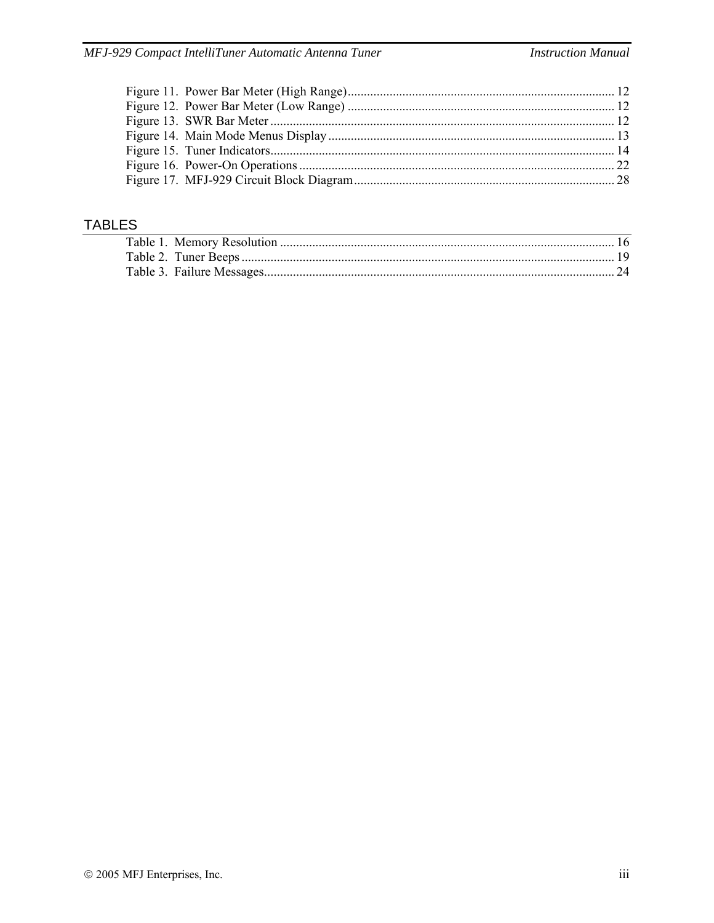# **TABLES**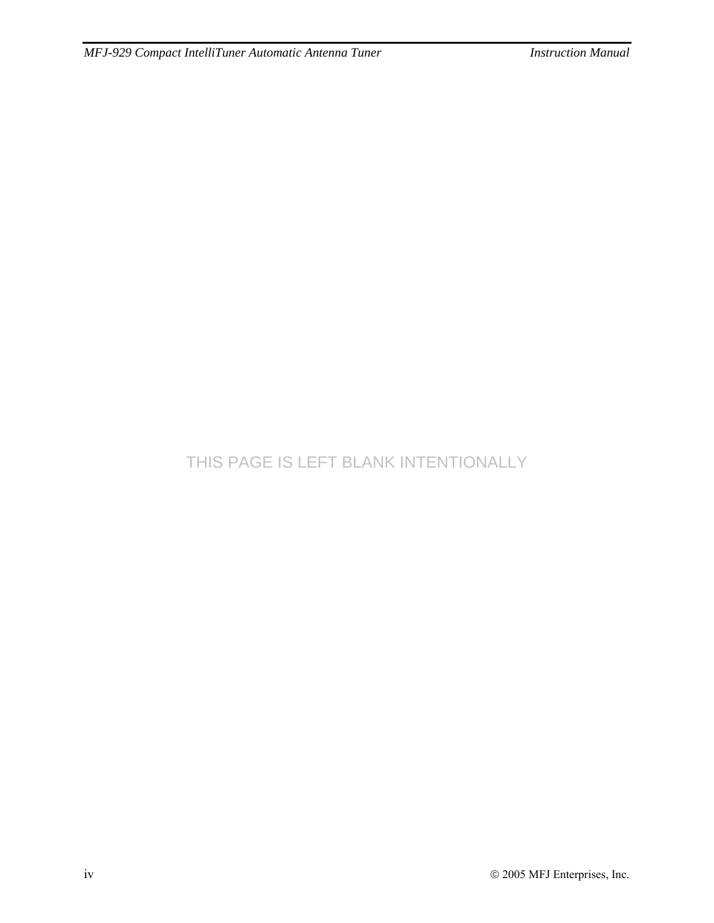# THIS PAGE IS LEFT BLANK INTENTIONALLY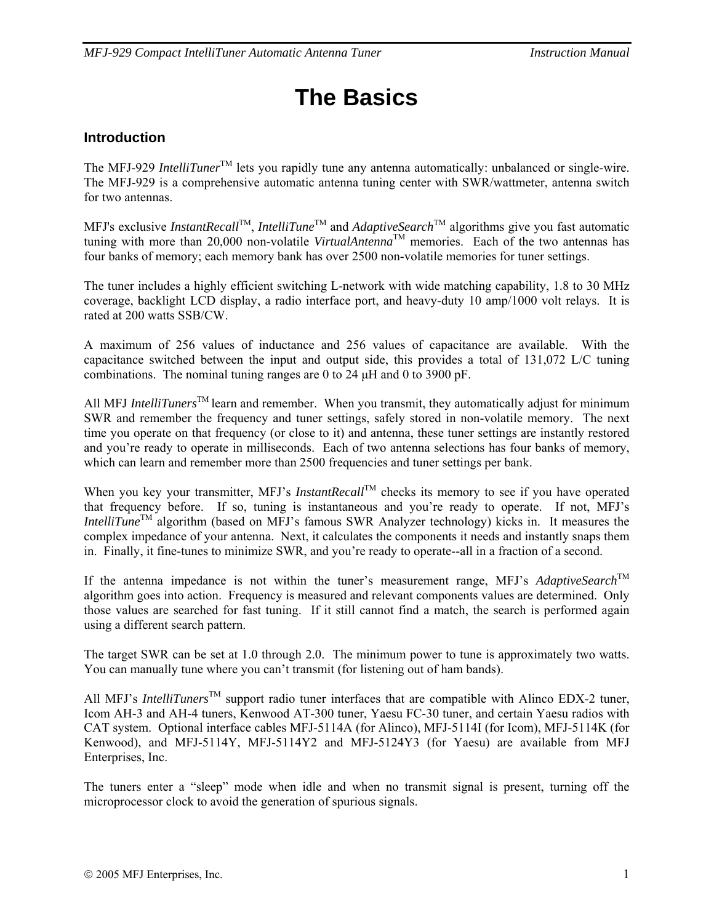# **The Basics**

# **Introduction**

The MFJ-929 *IntelliTuner*<sup>TM</sup> lets you rapidly tune any antenna automatically: unbalanced or single-wire. The MFJ-929 is a comprehensive automatic antenna tuning center with SWR/wattmeter, antenna switch for two antennas.

MFJ's exclusive *InstantRecall*TM, *IntelliTune*TM and *AdaptiveSearch*TM algorithms give you fast automatic tuning with more than 20,000 non-volatile *VirtualAntenna*TM memories. Each of the two antennas has four banks of memory; each memory bank has over 2500 non-volatile memories for tuner settings.

The tuner includes a highly efficient switching L-network with wide matching capability, 1.8 to 30 MHz coverage, backlight LCD display, a radio interface port, and heavy-duty 10 amp/1000 volt relays. It is rated at 200 watts SSB/CW.

A maximum of 256 values of inductance and 256 values of capacitance are available. With the capacitance switched between the input and output side, this provides a total of 131,072 L/C tuning combinations. The nominal tuning ranges are 0 to 24 μH and 0 to 3900 pF.

All MFJ *IntelliTuners*TM learn and remember. When you transmit, they automatically adjust for minimum SWR and remember the frequency and tuner settings, safely stored in non-volatile memory. The next time you operate on that frequency (or close to it) and antenna, these tuner settings are instantly restored and you're ready to operate in milliseconds. Each of two antenna selections has four banks of memory, which can learn and remember more than 2500 frequencies and tuner settings per bank.

When you key your transmitter, MFJ's *InstantRecall*<sup>TM</sup> checks its memory to see if you have operated that frequency before. If so, tuning is instantaneous and you're ready to operate. If not, MFJ's *IntelliTune*TM algorithm (based on MFJ's famous SWR Analyzer technology) kicks in. It measures the complex impedance of your antenna. Next, it calculates the components it needs and instantly snaps them in. Finally, it fine-tunes to minimize SWR, and you're ready to operate--all in a fraction of a second.

If the antenna impedance is not within the tuner's measurement range, MFJ's *AdaptiveSearch*<sup>TM</sup> algorithm goes into action. Frequency is measured and relevant components values are determined. Only those values are searched for fast tuning. If it still cannot find a match, the search is performed again using a different search pattern.

The target SWR can be set at 1.0 through 2.0. The minimum power to tune is approximately two watts. You can manually tune where you can't transmit (for listening out of ham bands).

All MFJ's *IntelliTuners*TM support radio tuner interfaces that are compatible with Alinco EDX-2 tuner, Icom AH-3 and AH-4 tuners, Kenwood AT-300 tuner, Yaesu FC-30 tuner, and certain Yaesu radios with CAT system. Optional interface cables MFJ-5114A (for Alinco), MFJ-5114I (for Icom), MFJ-5114K (for Kenwood), and MFJ-5114Y, MFJ-5114Y2 and MFJ-5124Y3 (for Yaesu) are available from MFJ Enterprises, Inc.

The tuners enter a "sleep" mode when idle and when no transmit signal is present, turning off the microprocessor clock to avoid the generation of spurious signals.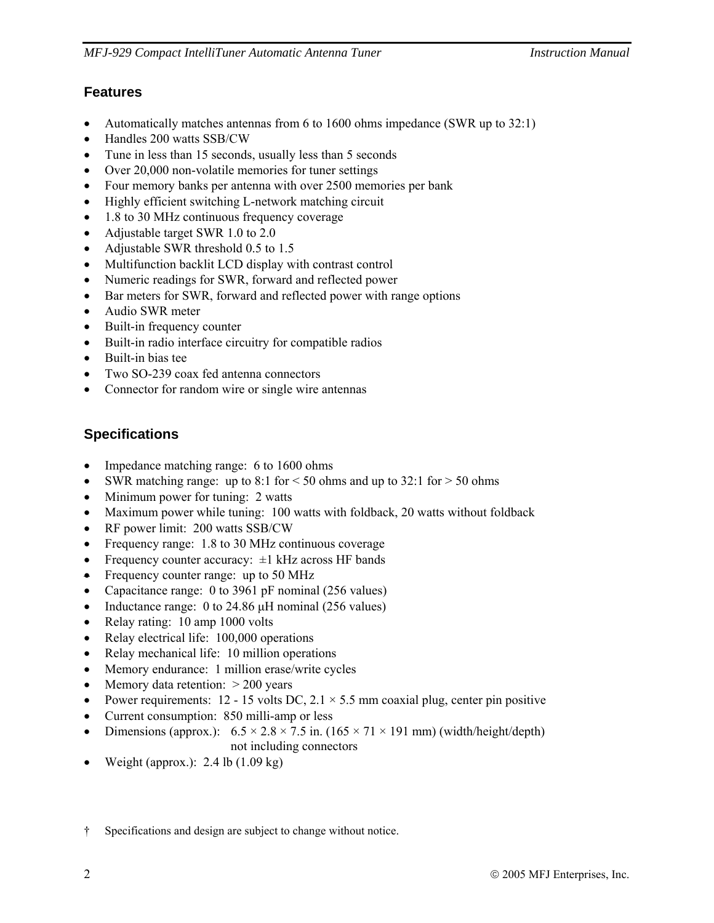# **Features**

- Automatically matches antennas from 6 to 1600 ohms impedance (SWR up to 32:1)
- Handles 200 watts SSB/CW
- Tune in less than 15 seconds, usually less than 5 seconds
- Over 20,000 non-volatile memories for tuner settings
- Four memory banks per antenna with over 2500 memories per bank
- Highly efficient switching L-network matching circuit
- 1.8 to 30 MHz continuous frequency coverage
- Adjustable target SWR 1.0 to 2.0
- Adjustable SWR threshold 0.5 to 1.5
- Multifunction backlit LCD display with contrast control
- Numeric readings for SWR, forward and reflected power
- Bar meters for SWR, forward and reflected power with range options
- Audio SWR meter
- Built-in frequency counter
- Built-in radio interface circuitry for compatible radios
- Built-in bias tee
- Two SO-239 coax fed antenna connectors
- Connector for random wire or single wire antennas

# **Specifications**

- Impedance matching range: 6 to 1600 ohms
- SWR matching range: up to 8:1 for  $\leq$  50 ohms and up to 32:1 for  $>$  50 ohms
- Minimum power for tuning: 2 watts
- Maximum power while tuning: 100 watts with foldback, 20 watts without foldback
- RF power limit: 200 watts SSB/CW
- Frequency range: 1.8 to 30 MHz continuous coverage
- Frequency counter accuracy:  $\pm 1$  kHz across HF bands
- Frequency counter range: up to 50 MHz
- Capacitance range: 0 to 3961 pF nominal (256 values)
- Inductance range: 0 to 24.86  $\mu$ H nominal (256 values)
- Relay rating: 10 amp 1000 volts
- Relay electrical life: 100,000 operations
- Relay mechanical life: 10 million operations
- Memory endurance: 1 million erase/write cycles
- Memory data retention:  $> 200$  years
- Power requirements: 12 15 volts DC,  $2.1 \times 5.5$  mm coaxial plug, center pin positive
- Current consumption: 850 milli-amp or less
- Dimensions (approx.):  $6.5 \times 2.8 \times 7.5$  in. (165  $\times$  71  $\times$  191 mm) (width/height/depth) not including connectors
- Weight (approx.):  $2.4 \text{ lb } (1.09 \text{ kg})$

† Specifications and design are subject to change without notice.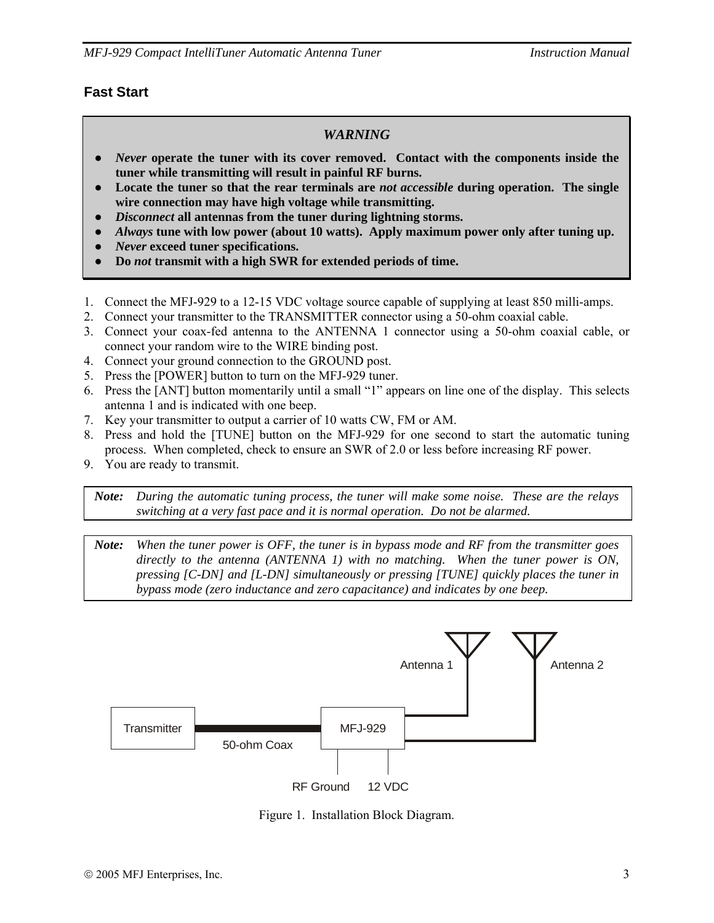### **Fast Start**

#### *WARNING*

- *Never* operate the tuner with its cover removed. Contact with the components inside the **tuner while transmitting will result in painful RF burns.**
- Locate the tuner so that the rear terminals are *not accessible* during operation. The single **wire connection may have high voltage while transmitting.**
- *Disconnect* **all antennas from the tuner during lightning storms.**
- *Always* **tune with low power (about 10 watts). Apply maximum power only after tuning up.**
- *Never* **exceed tuner specifications.**
- **Do** *not* **transmit with a high SWR for extended periods of time.**
- 1. Connect the MFJ-929 to a 12-15 VDC voltage source capable of supplying at least 850 milli-amps.
- 2. Connect your transmitter to the TRANSMITTER connector using a 50-ohm coaxial cable.
- 3. Connect your coax-fed antenna to the ANTENNA 1 connector using a 50-ohm coaxial cable, or connect your random wire to the WIRE binding post.
- 4. Connect your ground connection to the GROUND post.
- 5. Press the [POWER] button to turn on the MFJ-929 tuner.
- 6. Press the [ANT] button momentarily until a small "1" appears on line one of the display. This selects antenna 1 and is indicated with one beep.
- 7. Key your transmitter to output a carrier of 10 watts CW, FM or AM.
- 8. Press and hold the [TUNE] button on the MFJ-929 for one second to start the automatic tuning process. When completed, check to ensure an SWR of 2.0 or less before increasing RF power.
- 9. You are ready to transmit.

*Note: During the automatic tuning process, the tuner will make some noise. These are the relays switching at a very fast pace and it is normal operation. Do not be alarmed.* 

*Note: When the tuner power is OFF, the tuner is in bypass mode and RF from the transmitter goes directly to the antenna (ANTENNA 1) with no matching. When the tuner power is ON, pressing [C-DN] and [L-DN] simultaneously or pressing [TUNE] quickly places the tuner in bypass mode (zero inductance and zero capacitance) and indicates by one beep.* 



Figure 1. Installation Block Diagram.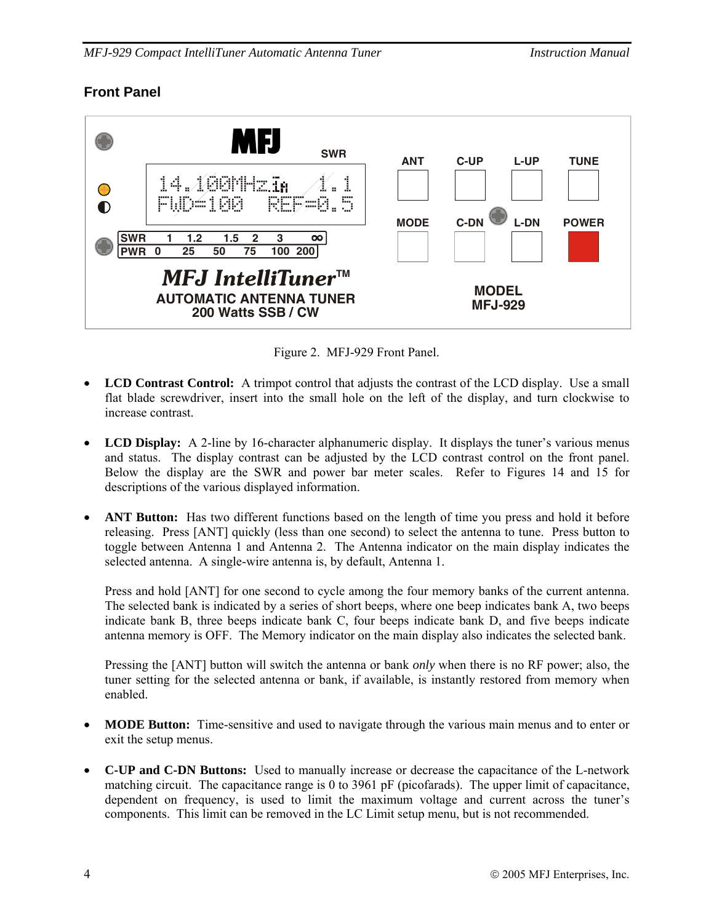# **Front Panel**



Figure 2. MFJ-929 Front Panel.

- **LCD Contrast Control:** A trimpot control that adjusts the contrast of the LCD display. Use a small flat blade screwdriver, insert into the small hole on the left of the display, and turn clockwise to increase contrast.
- **LCD Display:** A 2-line by 16-character alphanumeric display. It displays the tuner's various menus and status. The display contrast can be adjusted by the LCD contrast control on the front panel. Below the display are the SWR and power bar meter scales. Refer to Figures 14 and 15 for descriptions of the various displayed information.
- **ANT Button:** Has two different functions based on the length of time you press and hold it before releasing. Press [ANT] quickly (less than one second) to select the antenna to tune. Press button to toggle between Antenna 1 and Antenna 2. The Antenna indicator on the main display indicates the selected antenna. A single-wire antenna is, by default, Antenna 1.

Press and hold [ANT] for one second to cycle among the four memory banks of the current antenna. The selected bank is indicated by a series of short beeps, where one beep indicates bank A, two beeps indicate bank B, three beeps indicate bank C, four beeps indicate bank D, and five beeps indicate antenna memory is OFF. The Memory indicator on the main display also indicates the selected bank.

Pressing the [ANT] button will switch the antenna or bank *only* when there is no RF power; also, the tuner setting for the selected antenna or bank, if available, is instantly restored from memory when enabled.

- **MODE Button:** Time-sensitive and used to navigate through the various main menus and to enter or exit the setup menus.
- **C-UP and C-DN Buttons:** Used to manually increase or decrease the capacitance of the L-network matching circuit. The capacitance range is 0 to 3961 pF (picofarads). The upper limit of capacitance, dependent on frequency, is used to limit the maximum voltage and current across the tuner's components. This limit can be removed in the LC Limit setup menu, but is not recommended.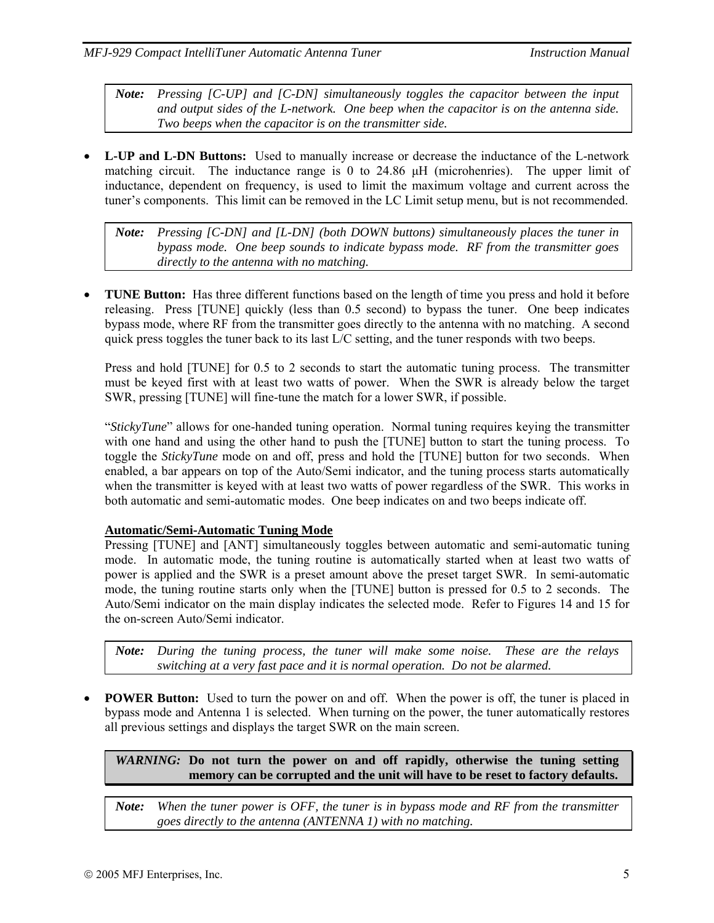*Note: Pressing [C-UP] and [C-DN] simultaneously toggles the capacitor between the input and output sides of the L-network. One beep when the capacitor is on the antenna side. Two beeps when the capacitor is on the transmitter side.* 

• **L-UP and L-DN Buttons:** Used to manually increase or decrease the inductance of the L-network matching circuit. The inductance range is 0 to 24.86 μH (microhenries). The upper limit of inductance, dependent on frequency, is used to limit the maximum voltage and current across the tuner's components. This limit can be removed in the LC Limit setup menu, but is not recommended.

*Note: Pressing [C-DN] and [L-DN] (both DOWN buttons) simultaneously places the tuner in bypass mode. One beep sounds to indicate bypass mode. RF from the transmitter goes directly to the antenna with no matching.* 

• **TUNE Button:** Has three different functions based on the length of time you press and hold it before releasing. Press [TUNE] quickly (less than 0.5 second) to bypass the tuner. One beep indicates bypass mode, where RF from the transmitter goes directly to the antenna with no matching. A second quick press toggles the tuner back to its last L/C setting, and the tuner responds with two beeps.

Press and hold [TUNE] for 0.5 to 2 seconds to start the automatic tuning process. The transmitter must be keyed first with at least two watts of power. When the SWR is already below the target SWR, pressing [TUNE] will fine-tune the match for a lower SWR, if possible.

"*StickyTune*" allows for one-handed tuning operation. Normal tuning requires keying the transmitter with one hand and using the other hand to push the [TUNE] button to start the tuning process. To toggle the *StickyTune* mode on and off, press and hold the [TUNE] button for two seconds. When enabled, a bar appears on top of the Auto/Semi indicator, and the tuning process starts automatically when the transmitter is keyed with at least two watts of power regardless of the SWR. This works in both automatic and semi-automatic modes. One beep indicates on and two beeps indicate off.

#### **Automatic/Semi-Automatic Tuning Mode**

Pressing [TUNE] and [ANT] simultaneously toggles between automatic and semi-automatic tuning mode. In automatic mode, the tuning routine is automatically started when at least two watts of power is applied and the SWR is a preset amount above the preset target SWR. In semi-automatic mode, the tuning routine starts only when the [TUNE] button is pressed for 0.5 to 2 seconds. The Auto/Semi indicator on the main display indicates the selected mode. Refer to Figures 14 and 15 for the on-screen Auto/Semi indicator.

*Note: During the tuning process, the tuner will make some noise. These are the relays switching at a very fast pace and it is normal operation. Do not be alarmed.* 

• **POWER Button:** Used to turn the power on and off. When the power is off, the tuner is placed in bypass mode and Antenna 1 is selected. When turning on the power, the tuner automatically restores all previous settings and displays the target SWR on the main screen.

*WARNING:* **Do not turn the power on and off rapidly, otherwise the tuning setting memory can be corrupted and the unit will have to be reset to factory defaults.** 

*Note: When the tuner power is OFF, the tuner is in bypass mode and RF from the transmitter goes directly to the antenna (ANTENNA 1) with no matching.*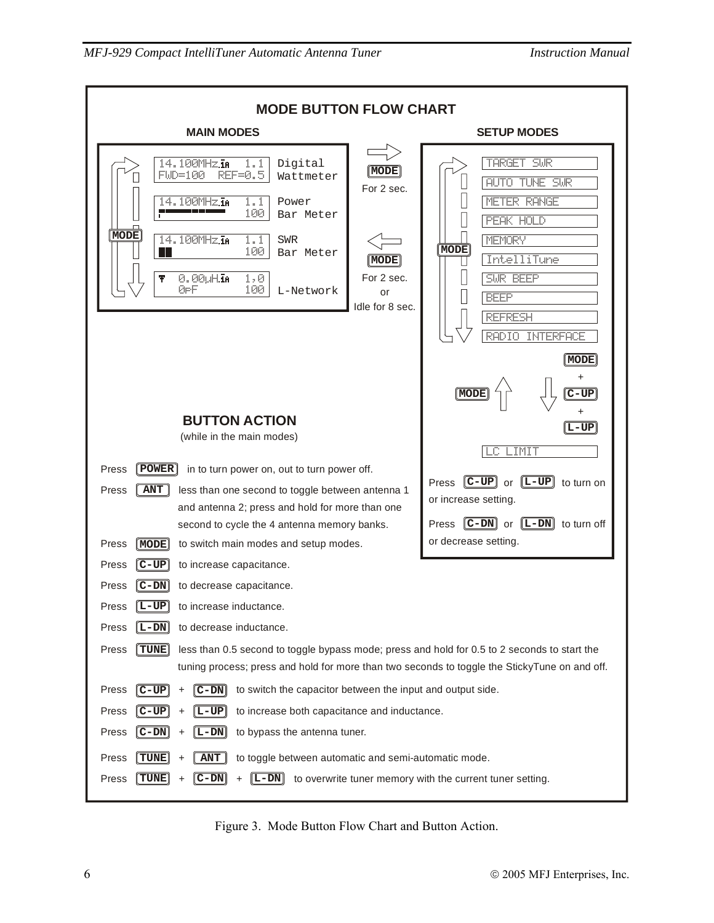

Figure 3. Mode Button Flow Chart and Button Action.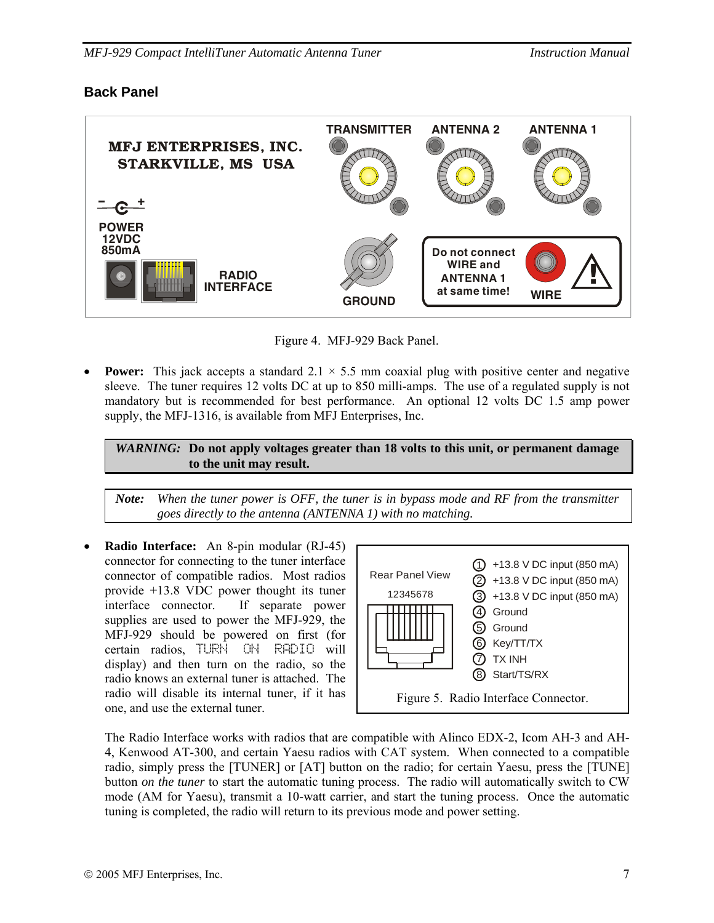### **Back Panel**



Figure 4. MFJ-929 Back Panel.

**Power:** This jack accepts a standard  $2.1 \times 5.5$  mm coaxial plug with positive center and negative sleeve. The tuner requires 12 volts DC at up to 850 milli-amps. The use of a regulated supply is not mandatory but is recommended for best performance. An optional 12 volts DC 1.5 amp power supply, the MFJ-1316, is available from MFJ Enterprises, Inc.

*WARNING:* **Do not apply voltages greater than 18 volts to this unit, or permanent damage to the unit may result.** 

*Note: When the tuner power is OFF, the tuner is in bypass mode and RF from the transmitter goes directly to the antenna (ANTENNA 1) with no matching.*

• **Radio Interface:** An 8-pin modular (RJ-45) connector for connecting to the tuner interface connector of compatible radios. Most radios provide +13.8 VDC power thought its tuner interface connector. If separate power supplies are used to power the MFJ-929, the MFJ-929 should be powered on first (for certain radios, TURN ON RADIO will display) and then turn on the radio, so the radio knows an external tuner is attached. The radio will disable its internal tuner, if it has one, and use the external tuner.



The Radio Interface works with radios that are compatible with Alinco EDX-2, Icom AH-3 and AH-4, Kenwood AT-300, and certain Yaesu radios with CAT system. When connected to a compatible radio, simply press the [TUNER] or [AT] button on the radio; for certain Yaesu, press the [TUNE] button *on the tuner* to start the automatic tuning process. The radio will automatically switch to CW mode (AM for Yaesu), transmit a 10-watt carrier, and start the tuning process. Once the automatic tuning is completed, the radio will return to its previous mode and power setting.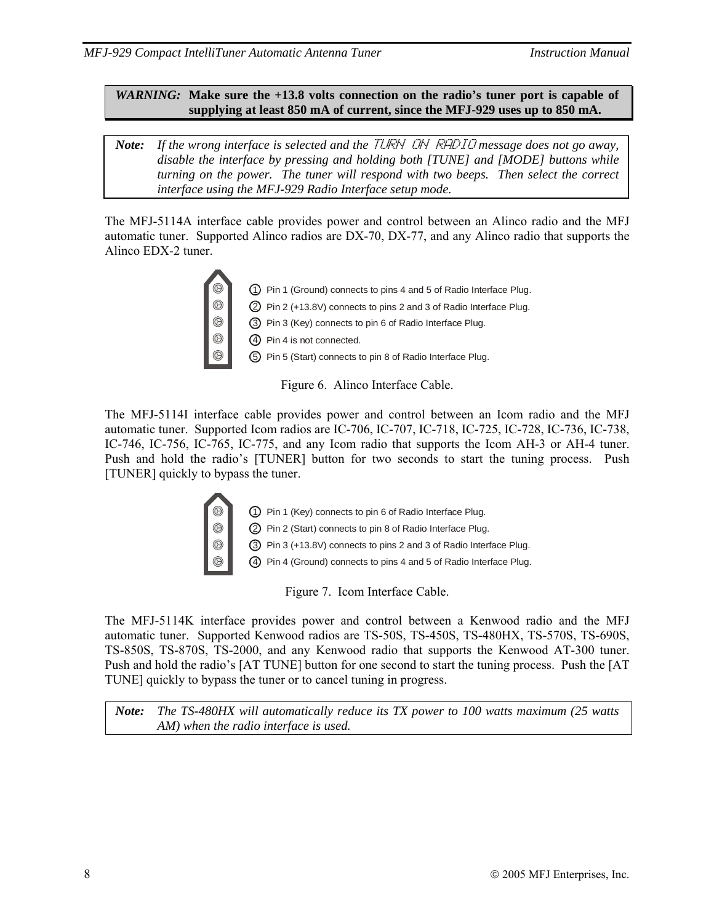#### *WARNING:* **Make sure the +13.8 volts connection on the radio's tuner port is capable of supplying at least 850 mA of current, since the MFJ-929 uses up to 850 mA.**

*Note:* If the wrong interface is selected and the TURN CIN RADIO message does not go away, *disable the interface by pressing and holding both [TUNE] and [MODE] buttons while turning on the power. The tuner will respond with two beeps. Then select the correct interface using the MFJ-929 Radio Interface setup mode.* 

The MFJ-5114A interface cable provides power and control between an Alinco radio and the MFJ automatic tuner. Supported Alinco radios are DX-70, DX-77, and any Alinco radio that supports the Alinco EDX-2 tuner.



Figure 6. Alinco Interface Cable.

The MFJ-5114I interface cable provides power and control between an Icom radio and the MFJ automatic tuner. Supported Icom radios are IC-706, IC-707, IC-718, IC-725, IC-728, IC-736, IC-738, IC-746, IC-756, IC-765, IC-775, and any Icom radio that supports the Icom AH-3 or AH-4 tuner. Push and hold the radio's [TUNER] button for two seconds to start the tuning process. Push [TUNER] quickly to bypass the tuner.



1) Pin 1 (Key) connects to pin 6 of Radio Interface Plug.

2) Pin 2 (Start) connects to pin 8 of Radio Interface Plug.

Pin 3 (+13.8V) connects to pins 2 and 3 of Radio Interface Plug. 3

4) Pin 4 (Ground) connects to pins 4 and 5 of Radio Interface Plug.

Figure 7. Icom Interface Cable.

The MFJ-5114K interface provides power and control between a Kenwood radio and the MFJ automatic tuner. Supported Kenwood radios are TS-50S, TS-450S, TS-480HX, TS-570S, TS-690S, TS-850S, TS-870S, TS-2000, and any Kenwood radio that supports the Kenwood AT-300 tuner. Push and hold the radio's [AT TUNE] button for one second to start the tuning process. Push the [AT TUNE] quickly to bypass the tuner or to cancel tuning in progress.

*Note: The TS-480HX will automatically reduce its TX power to 100 watts maximum (25 watts AM) when the radio interface is used.*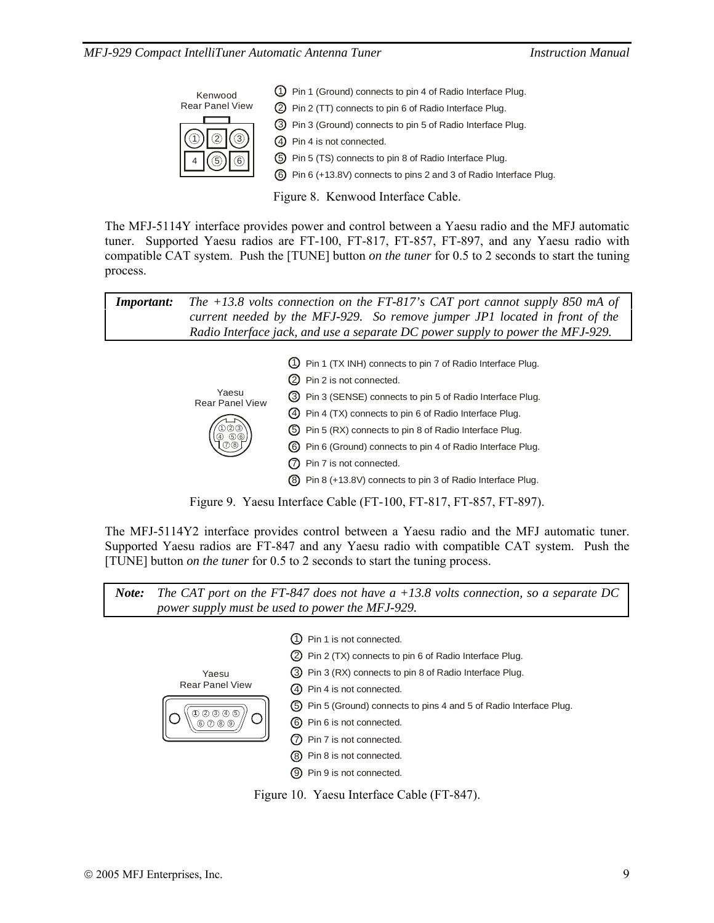

 $1)$  Pin 1 (Ground) connects to pin 4 of Radio Interface Plug.

2 Pin 2 (TT) connects to pin 6 of Radio Interface Plug.

3) Pin 3 (Ground) connects to pin 5 of Radio Interface Plug.

4) Pin 4 is not connected.

5) Pin 5 (TS) connects to pin 8 of Radio Interface Plug.

Pin 6 (+13.8V) connects to pins 2 and 3 of Radio Interface Plug. 6

Figure 8. Kenwood Interface Cable.

The MFJ-5114Y interface provides power and control between a Yaesu radio and the MFJ automatic tuner. Supported Yaesu radios are FT-100, FT-817, FT-857, FT-897, and any Yaesu radio with compatible CAT system. Push the [TUNE] button *on the tuner* for 0.5 to 2 seconds to start the tuning process.

*Important: The +13.8 volts connection on the FT-817's CAT port cannot supply 850 mA of current needed by the MFJ-929. So remove jumper JP1 located in front of the Radio Interface jack, and use a separate DC power supply to power the MFJ-929.*



Figure 9. Yaesu Interface Cable (FT-100, FT-817, FT-857, FT-897).

The MFJ-5114Y2 interface provides control between a Yaesu radio and the MFJ automatic tuner. Supported Yaesu radios are FT-847 and any Yaesu radio with compatible CAT system. Push the [TUNE] button *on the tuner* for 0.5 to 2 seconds to start the tuning process.

*Note: The CAT port on the FT-847 does not have a +13.8 volts connection, so a separate DC power supply must be used to power the MFJ-929.* 



Figure 10. Yaesu Interface Cable (FT-847).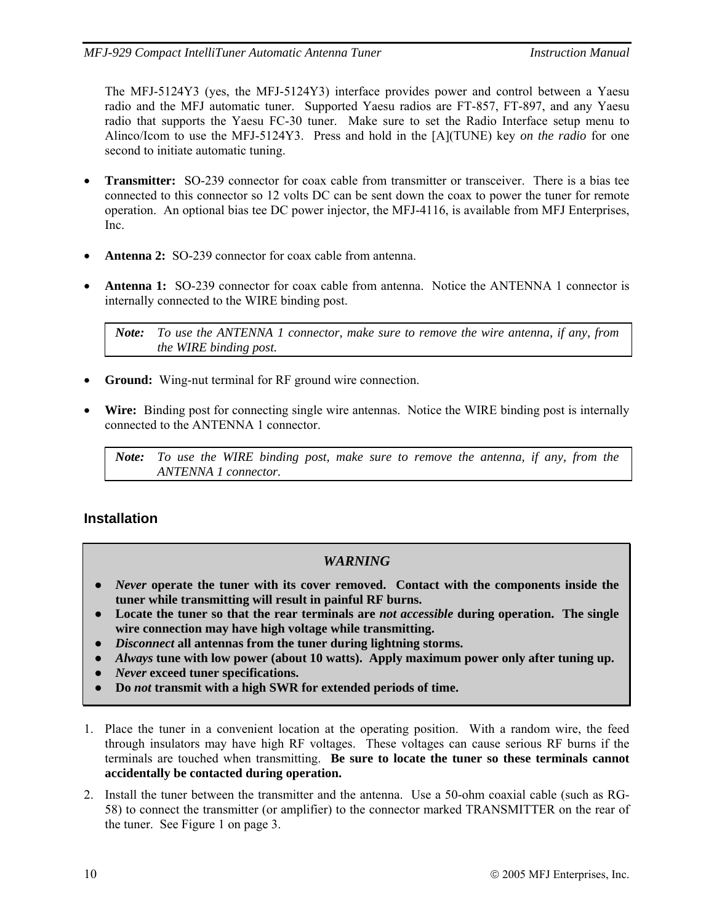The MFJ-5124Y3 (yes, the MFJ-5124Y3) interface provides power and control between a Yaesu radio and the MFJ automatic tuner. Supported Yaesu radios are FT-857, FT-897, and any Yaesu radio that supports the Yaesu FC-30 tuner. Make sure to set the Radio Interface setup menu to Alinco/Icom to use the MFJ-5124Y3. Press and hold in the [A](TUNE) key *on the radio* for one second to initiate automatic tuning.

- **Transmitter:** SO-239 connector for coax cable from transmitter or transceiver. There is a bias tee connected to this connector so 12 volts DC can be sent down the coax to power the tuner for remote operation. An optional bias tee DC power injector, the MFJ-4116, is available from MFJ Enterprises, Inc.
- Antenna 2: SO-239 connector for coax cable from antenna.
- **Antenna 1:** SO-239 connector for coax cable from antenna. Notice the ANTENNA 1 connector is internally connected to the WIRE binding post.

*Note: To use the ANTENNA 1 connector, make sure to remove the wire antenna, if any, from the WIRE binding post.*

- **Ground:** Wing-nut terminal for RF ground wire connection.
- **Wire:** Binding post for connecting single wire antennas. Notice the WIRE binding post is internally connected to the ANTENNA 1 connector.

*Note: To use the WIRE binding post, make sure to remove the antenna, if any, from the ANTENNA 1 connector.*

# **Installation**

#### *WARNING*

- *Never* **operate the tuner with its cover removed. Contact with the components inside the tuner while transmitting will result in painful RF burns.**
- **Locate the tuner so that the rear terminals are** *not accessible* **during operation. The single wire connection may have high voltage while transmitting.**
- *Disconnect* **all antennas from the tuner during lightning storms.**
- *Always* **tune with low power (about 10 watts). Apply maximum power only after tuning up.**
- *Never* **exceed tuner specifications.**
- **Do** *not* **transmit with a high SWR for extended periods of time.**
- 1. Place the tuner in a convenient location at the operating position. With a random wire, the feed through insulators may have high RF voltages. These voltages can cause serious RF burns if the terminals are touched when transmitting. **Be sure to locate the tuner so these terminals cannot accidentally be contacted during operation.**
- 2. Install the tuner between the transmitter and the antenna. Use a 50-ohm coaxial cable (such as RG-58) to connect the transmitter (or amplifier) to the connector marked TRANSMITTER on the rear of the tuner. See Figure 1 on page 3.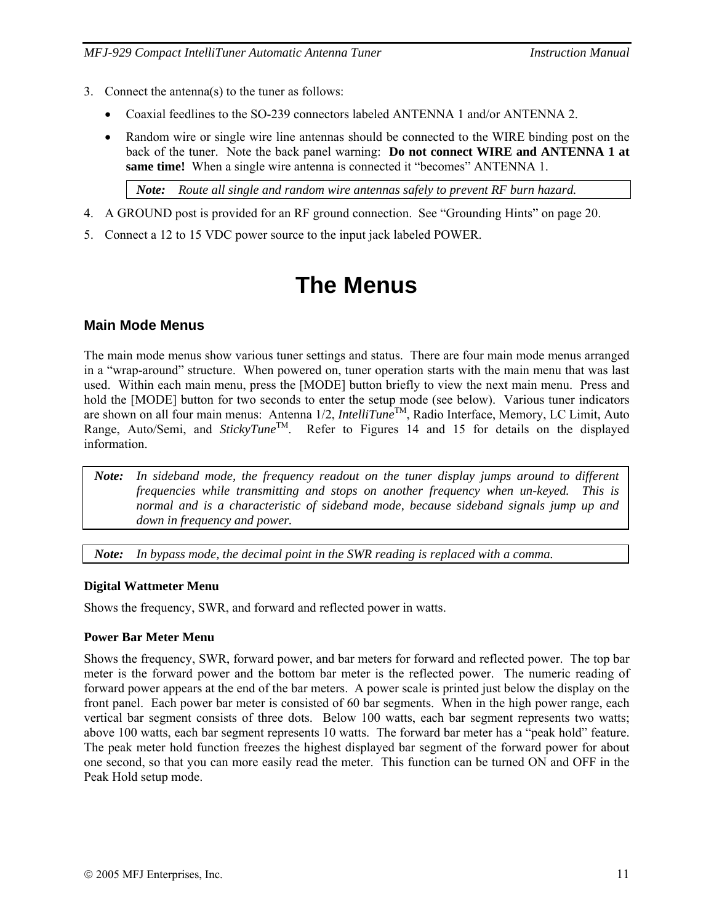- 3. Connect the antenna(s) to the tuner as follows:
	- Coaxial feedlines to the SO-239 connectors labeled ANTENNA 1 and/or ANTENNA 2.
	- Random wire or single wire line antennas should be connected to the WIRE binding post on the back of the tuner. Note the back panel warning: **Do not connect WIRE and ANTENNA 1 at same time!** When a single wire antenna is connected it "becomes" ANTENNA 1.

*Note: Route all single and random wire antennas safely to prevent RF burn hazard.* 

- 4. A GROUND post is provided for an RF ground connection. See "Grounding Hints" on page 20.
- 5. Connect a 12 to 15 VDC power source to the input jack labeled POWER.

# **The Menus**

#### **Main Mode Menus**

The main mode menus show various tuner settings and status. There are four main mode menus arranged in a "wrap-around" structure. When powered on, tuner operation starts with the main menu that was last used. Within each main menu, press the [MODE] button briefly to view the next main menu. Press and hold the [MODE] button for two seconds to enter the setup mode (see below). Various tuner indicators are shown on all four main menus: Antenna 1/2, *IntelliTune*TM, Radio Interface, Memory, LC Limit, Auto Range, Auto/Semi, and *StickyTune<sup>TM</sup>*. Refer to Figures 14 and 15 for details on the displayed information.

*Note: In sideband mode, the frequency readout on the tuner display jumps around to different frequencies while transmitting and stops on another frequency when un-keyed. This is normal and is a characteristic of sideband mode, because sideband signals jump up and down in frequency and power.* 

*Note: In bypass mode, the decimal point in the SWR reading is replaced with a comma.* 

#### **Digital Wattmeter Menu**

Shows the frequency, SWR, and forward and reflected power in watts.

#### **Power Bar Meter Menu**

Shows the frequency, SWR, forward power, and bar meters for forward and reflected power. The top bar meter is the forward power and the bottom bar meter is the reflected power. The numeric reading of forward power appears at the end of the bar meters. A power scale is printed just below the display on the front panel. Each power bar meter is consisted of 60 bar segments. When in the high power range, each vertical bar segment consists of three dots. Below 100 watts, each bar segment represents two watts; above 100 watts, each bar segment represents 10 watts. The forward bar meter has a "peak hold" feature. The peak meter hold function freezes the highest displayed bar segment of the forward power for about one second, so that you can more easily read the meter. This function can be turned ON and OFF in the Peak Hold setup mode.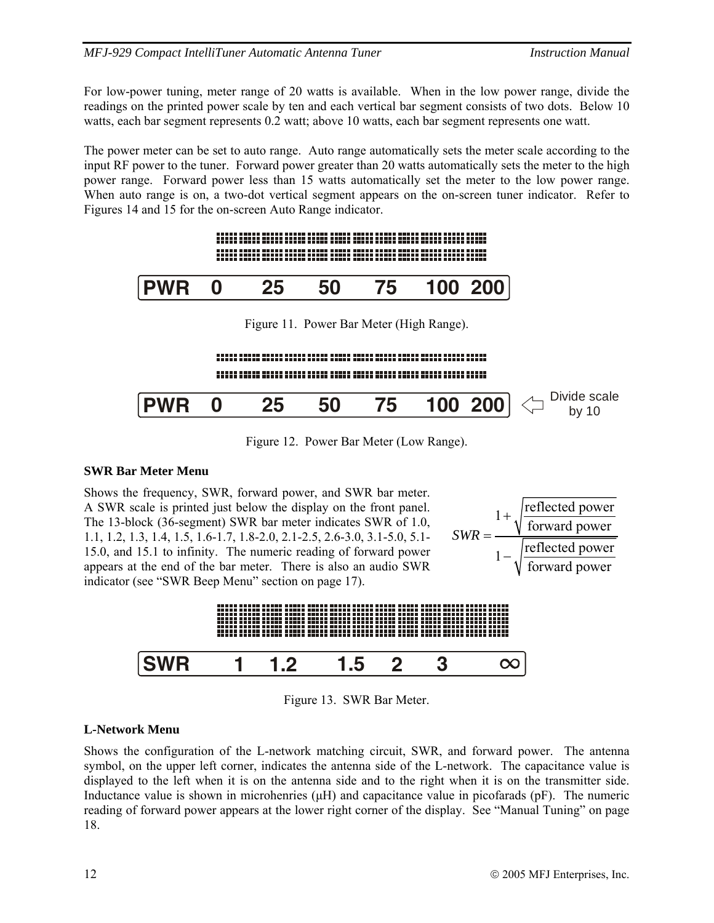For low-power tuning, meter range of 20 watts is available. When in the low power range, divide the readings on the printed power scale by ten and each vertical bar segment consists of two dots. Below 10 watts, each bar segment represents 0.2 watt; above 10 watts, each bar segment represents one watt.

The power meter can be set to auto range. Auto range automatically sets the meter scale according to the input RF power to the tuner. Forward power greater than 20 watts automatically sets the meter to the high power range. Forward power less than 15 watts automatically set the meter to the low power range. When auto range is on, a two-dot vertical segment appears on the on-screen tuner indicator. Refer to Figures 14 and 15 for the on-screen Auto Range indicator.



Figure 12. Power Bar Meter (Low Range).

#### **SWR Bar Meter Menu**

Shows the frequency, SWR, forward power, and SWR bar meter. A SWR scale is printed just below the display on the front panel. The 13-block (36-segment) SWR bar meter indicates SWR of 1.0, 1.1, 1.2, 1.3, 1.4, 1.5, 1.6-1.7, 1.8-2.0, 2.1-2.5, 2.6-3.0, 3.1-5.0, 5.1- 15.0, and 15.1 to infinity. The numeric reading of forward power appears at the end of the bar meter. There is also an audio SWR indicator (see "SWR Beep Menu" section on page 17).





Figure 13. SWR Bar Meter.

#### **L-Network Menu**

Shows the configuration of the L-network matching circuit, SWR, and forward power. The antenna symbol, on the upper left corner, indicates the antenna side of the L-network. The capacitance value is displayed to the left when it is on the antenna side and to the right when it is on the transmitter side. Inductance value is shown in microhenries  $(\mu H)$  and capacitance value in picofarads (pF). The numeric reading of forward power appears at the lower right corner of the display. See "Manual Tuning" on page 18.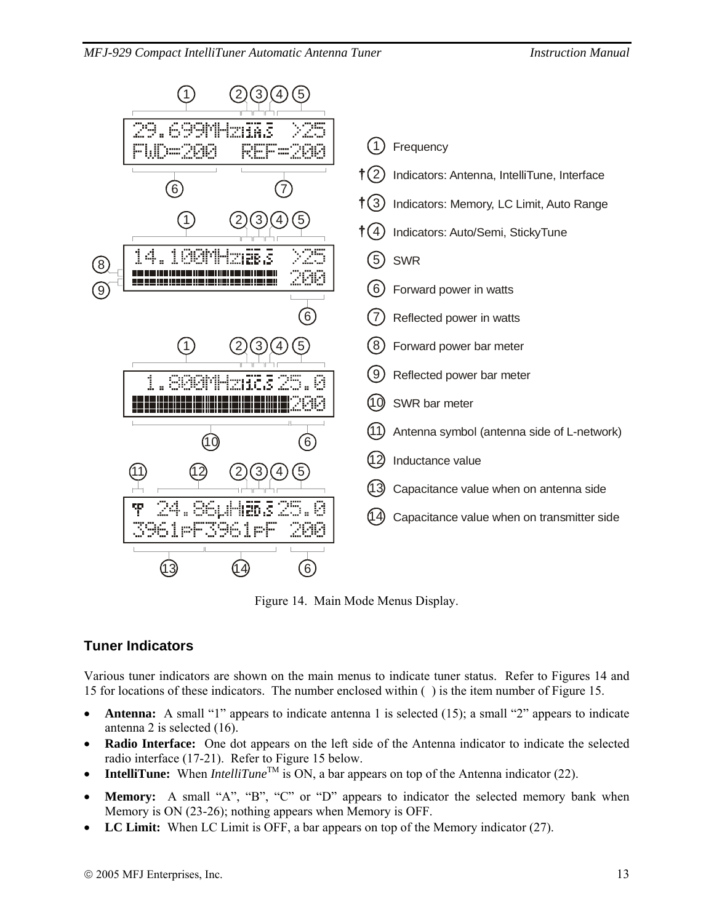

Figure 14. Main Mode Menus Display.

# **Tuner Indicators**

Various tuner indicators are shown on the main menus to indicate tuner status. Refer to Figures 14 and 15 for locations of these indicators. The number enclosed within ( ) is the item number of Figure 15.

- **Antenna:** A small "1" appears to indicate antenna 1 is selected (15); a small "2" appears to indicate antenna 2 is selected (16).
- **Radio Interface:** One dot appears on the left side of the Antenna indicator to indicate the selected radio interface (17-21). Refer to Figure 15 below.
- **IntelliTune:** When *IntelliTune*<sup>TM</sup> is ON, a bar appears on top of the Antenna indicator (22).
- **Memory:** A small "A", "B", "C" or "D" appears to indicator the selected memory bank when Memory is ON (23-26); nothing appears when Memory is OFF.
- **LC Limit:** When LC Limit is OFF, a bar appears on top of the Memory indicator (27).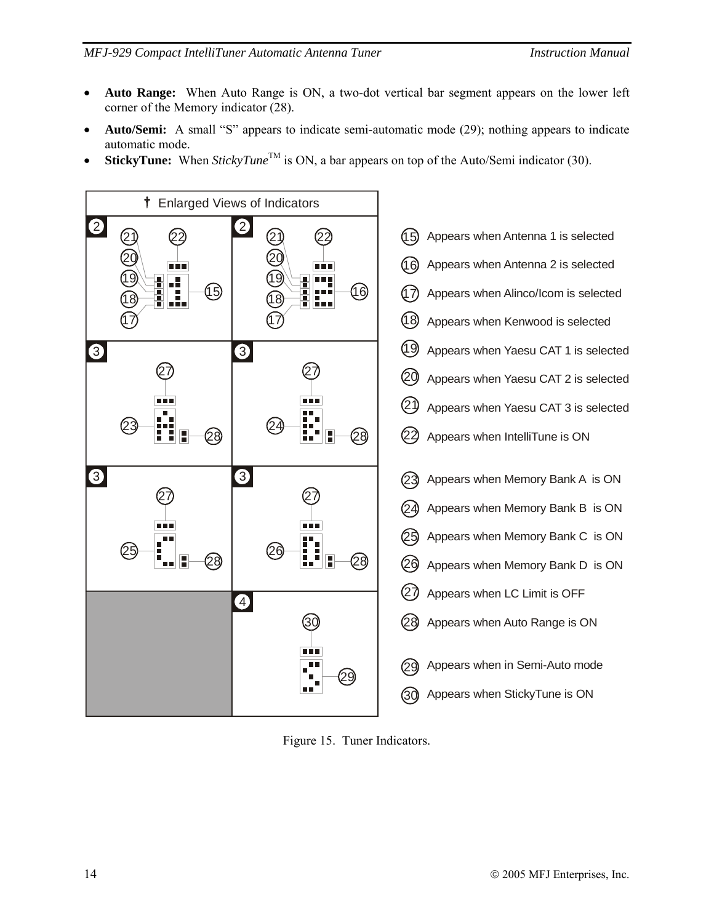#### *MFJ-929 Compact IntelliTuner Automatic Antenna Tuner Instruction Manual*

- **Auto Range:** When Auto Range is ON, a two-dot vertical bar segment appears on the lower left corner of the Memory indicator (28).
- **Auto/Semi:** A small "S" appears to indicate semi-automatic mode (29); nothing appears to indicate automatic mode.
- **StickyTune:** When  $StickyTune^{\text{TM}}$  is ON, a bar appears on top of the Auto/Semi indicator (30).



Figure 15. Tuner Indicators.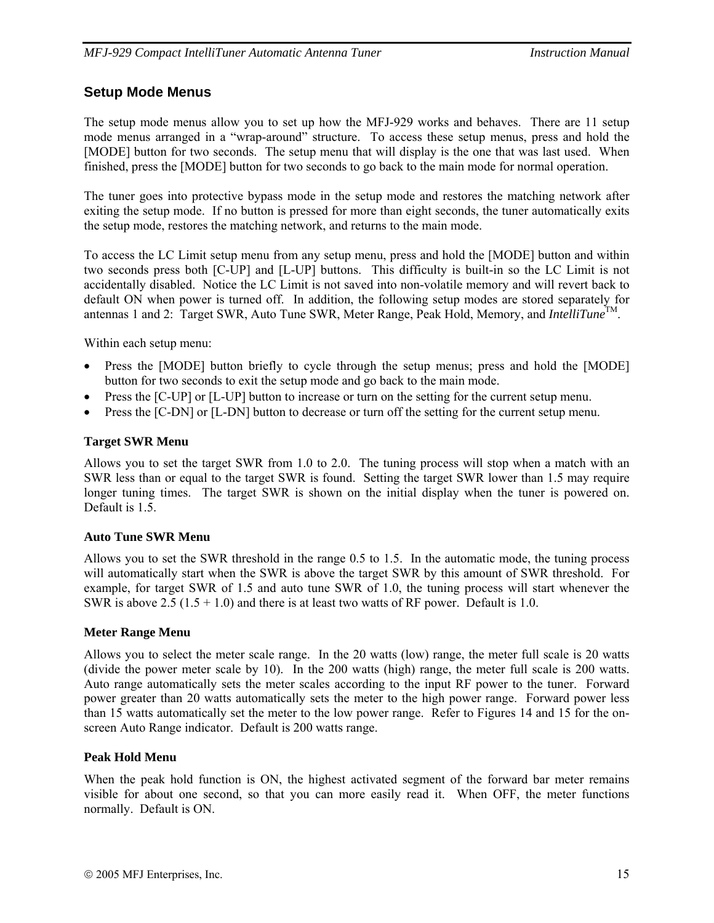#### **Setup Mode Menus**

The setup mode menus allow you to set up how the MFJ-929 works and behaves. There are 11 setup mode menus arranged in a "wrap-around" structure. To access these setup menus, press and hold the [MODE] button for two seconds. The setup menu that will display is the one that was last used. When finished, press the [MODE] button for two seconds to go back to the main mode for normal operation.

The tuner goes into protective bypass mode in the setup mode and restores the matching network after exiting the setup mode. If no button is pressed for more than eight seconds, the tuner automatically exits the setup mode, restores the matching network, and returns to the main mode.

To access the LC Limit setup menu from any setup menu, press and hold the [MODE] button and within two seconds press both [C-UP] and [L-UP] buttons. This difficulty is built-in so the LC Limit is not accidentally disabled. Notice the LC Limit is not saved into non-volatile memory and will revert back to default ON when power is turned off. In addition, the following setup modes are stored separately for antennas 1 and 2: Target SWR, Auto Tune SWR, Meter Range, Peak Hold, Memory, and *IntelliTune*TM.

Within each setup menu:

- Press the [MODE] button briefly to cycle through the setup menus; press and hold the [MODE] button for two seconds to exit the setup mode and go back to the main mode.
- Press the [C-UP] or [L-UP] button to increase or turn on the setting for the current setup menu.
- Press the [C-DN] or [L-DN] button to decrease or turn off the setting for the current setup menu.

#### **Target SWR Menu**

Allows you to set the target SWR from 1.0 to 2.0. The tuning process will stop when a match with an SWR less than or equal to the target SWR is found. Setting the target SWR lower than 1.5 may require longer tuning times. The target SWR is shown on the initial display when the tuner is powered on. Default is 1.5.

#### **Auto Tune SWR Menu**

Allows you to set the SWR threshold in the range 0.5 to 1.5. In the automatic mode, the tuning process will automatically start when the SWR is above the target SWR by this amount of SWR threshold. For example, for target SWR of 1.5 and auto tune SWR of 1.0, the tuning process will start whenever the SWR is above 2.5  $(1.5 + 1.0)$  and there is at least two watts of RF power. Default is 1.0.

#### **Meter Range Menu**

Allows you to select the meter scale range. In the 20 watts (low) range, the meter full scale is 20 watts (divide the power meter scale by 10). In the 200 watts (high) range, the meter full scale is 200 watts. Auto range automatically sets the meter scales according to the input RF power to the tuner. Forward power greater than 20 watts automatically sets the meter to the high power range. Forward power less than 15 watts automatically set the meter to the low power range. Refer to Figures 14 and 15 for the onscreen Auto Range indicator. Default is 200 watts range.

#### **Peak Hold Menu**

When the peak hold function is ON, the highest activated segment of the forward bar meter remains visible for about one second, so that you can more easily read it. When OFF, the meter functions normally. Default is ON.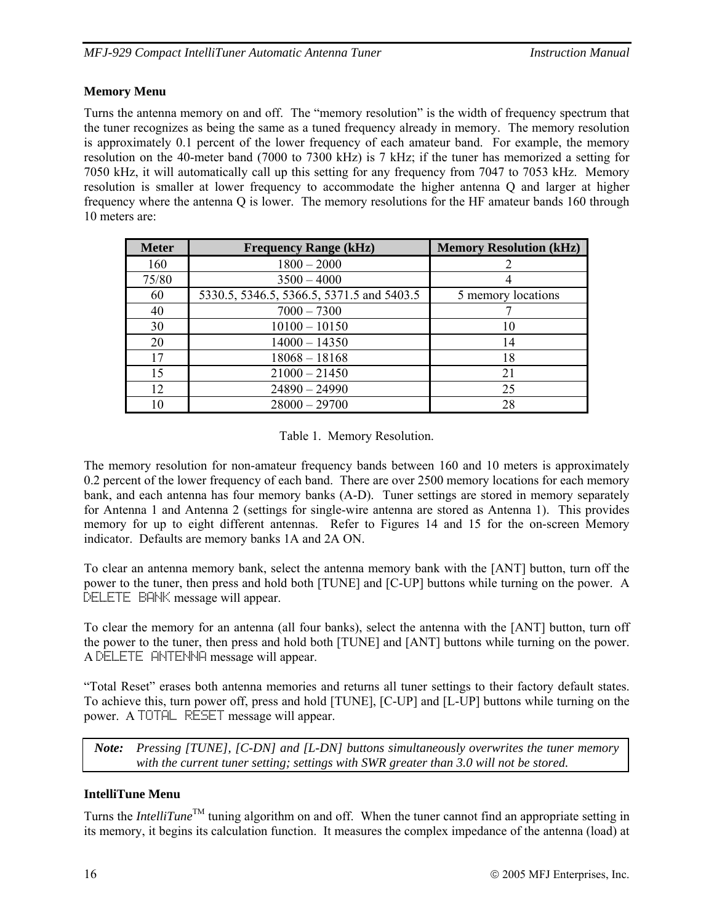#### **Memory Menu**

Turns the antenna memory on and off. The "memory resolution" is the width of frequency spectrum that the tuner recognizes as being the same as a tuned frequency already in memory. The memory resolution is approximately 0.1 percent of the lower frequency of each amateur band. For example, the memory resolution on the 40-meter band (7000 to 7300 kHz) is 7 kHz; if the tuner has memorized a setting for 7050 kHz, it will automatically call up this setting for any frequency from 7047 to 7053 kHz. Memory resolution is smaller at lower frequency to accommodate the higher antenna Q and larger at higher frequency where the antenna Q is lower. The memory resolutions for the HF amateur bands 160 through 10 meters are:

| <b>Meter</b> | <b>Frequency Range (kHz)</b>              | <b>Memory Resolution (kHz)</b> |
|--------------|-------------------------------------------|--------------------------------|
| 160          | $1800 - 2000$                             |                                |
| 75/80        | $3500 - 4000$                             |                                |
| 60           | 5330.5, 5346.5, 5366.5, 5371.5 and 5403.5 | 5 memory locations             |
| 40           | $7000 - 7300$                             |                                |
| 30           | $10100 - 10150$                           | 10                             |
| 20           | $14000 - 14350$                           | 14                             |
| 17           | $18068 - 18168$                           | 18                             |
| 15           | $21000 - 21450$                           | 21                             |
| 12           | $24890 - 24990$                           | 25                             |
|              | $28000 - 29700$                           | 28                             |

Table 1. Memory Resolution.

The memory resolution for non-amateur frequency bands between 160 and 10 meters is approximately 0.2 percent of the lower frequency of each band. There are over 2500 memory locations for each memory bank, and each antenna has four memory banks (A-D). Tuner settings are stored in memory separately for Antenna 1 and Antenna 2 (settings for single-wire antenna are stored as Antenna 1). This provides memory for up to eight different antennas. Refer to Figures 14 and 15 for the on-screen Memory indicator. Defaults are memory banks 1A and 2A ON.

To clear an antenna memory bank, select the antenna memory bank with the [ANT] button, turn off the power to the tuner, then press and hold both [TUNE] and [C-UP] buttons while turning on the power. A DELETE BANK message will appear.

To clear the memory for an antenna (all four banks), select the antenna with the [ANT] button, turn off the power to the tuner, then press and hold both [TUNE] and [ANT] buttons while turning on the power. A DELETE ANTENNA message will appear.

"Total Reset" erases both antenna memories and returns all tuner settings to their factory default states. To achieve this, turn power off, press and hold [TUNE], [C-UP] and [L-UP] buttons while turning on the power. A TOTAL RESET message will appear.

*Note: Pressing [TUNE], [C-DN] and [L-DN] buttons simultaneously overwrites the tuner memory with the current tuner setting; settings with SWR greater than 3.0 will not be stored.* 

#### **IntelliTune Menu**

Turns the *IntelliTune*<sup>TM</sup> tuning algorithm on and off. When the tuner cannot find an appropriate setting in its memory, it begins its calculation function. It measures the complex impedance of the antenna (load) at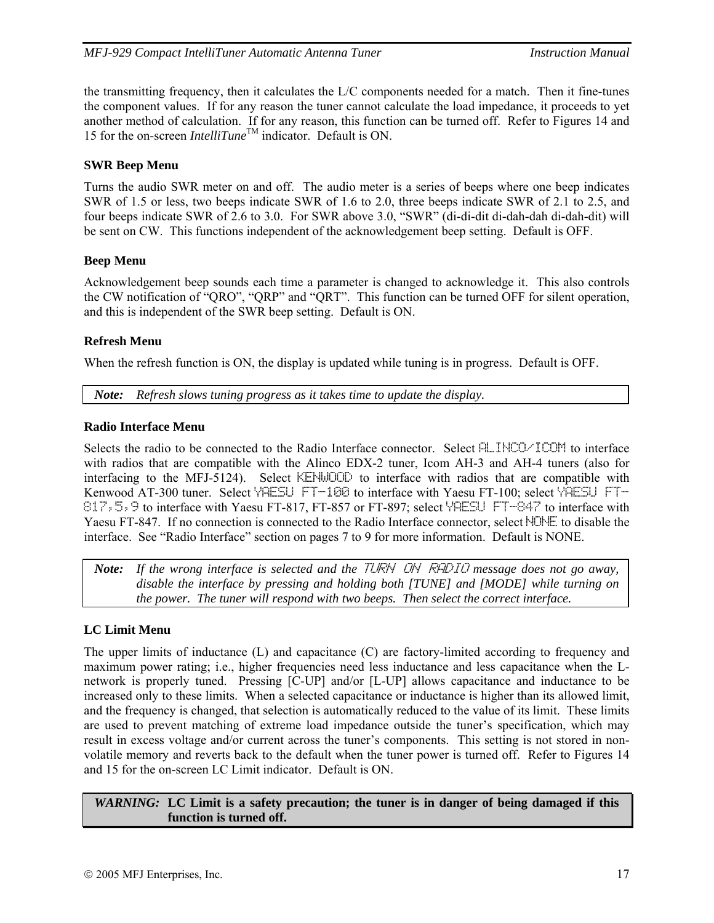the transmitting frequency, then it calculates the L/C components needed for a match. Then it fine-tunes the component values. If for any reason the tuner cannot calculate the load impedance, it proceeds to yet another method of calculation. If for any reason, this function can be turned off. Refer to Figures 14 and 15 for the on-screen *IntelliTune*<sup>TM</sup> indicator. Default is ON.

#### **SWR Beep Menu**

Turns the audio SWR meter on and off. The audio meter is a series of beeps where one beep indicates SWR of 1.5 or less, two beeps indicate SWR of 1.6 to 2.0, three beeps indicate SWR of 2.1 to 2.5, and four beeps indicate SWR of 2.6 to 3.0. For SWR above 3.0, "SWR" (di-di-dit di-dah-dah di-dah-dit) will be sent on CW. This functions independent of the acknowledgement beep setting. Default is OFF.

#### **Beep Menu**

Acknowledgement beep sounds each time a parameter is changed to acknowledge it. This also controls the CW notification of "QRO", "QRP" and "QRT". This function can be turned OFF for silent operation, and this is independent of the SWR beep setting. Default is ON.

#### **Refresh Menu**

When the refresh function is ON, the display is updated while tuning is in progress. Default is OFF.

*Note: Refresh slows tuning progress as it takes time to update the display.* 

#### **Radio Interface Menu**

Selects the radio to be connected to the Radio Interface connector. Select ALINCO/ICOM to interface with radios that are compatible with the Alinco EDX-2 tuner, Icom AH-3 and AH-4 tuners (also for interfacing to the MFJ-5124). Select KENWOOD to interface with radios that are compatible with Kenwood AT-300 tuner. Select YHESU FT-100 to interface with Yaesu FT-100; select YHESU FT-817, 5,9 to interface with Yaesu FT-817, FT-857 or FT-897; select YAESU FT-847 to interface with Yaesu FT-847. If no connection is connected to the Radio Interface connector, select NONE to disable the interface. See "Radio Interface" section on pages 7 to 9 for more information. Default is NONE.

*Note: If the wrong interface is selected and the* TURN ON RADIO *message does not go away, disable the interface by pressing and holding both [TUNE] and [MODE] while turning on the power. The tuner will respond with two beeps. Then select the correct interface.* 

#### **LC Limit Menu**

The upper limits of inductance (L) and capacitance (C) are factory-limited according to frequency and maximum power rating; i.e., higher frequencies need less inductance and less capacitance when the Lnetwork is properly tuned. Pressing [C-UP] and/or [L-UP] allows capacitance and inductance to be increased only to these limits. When a selected capacitance or inductance is higher than its allowed limit, and the frequency is changed, that selection is automatically reduced to the value of its limit. These limits are used to prevent matching of extreme load impedance outside the tuner's specification, which may result in excess voltage and/or current across the tuner's components. This setting is not stored in nonvolatile memory and reverts back to the default when the tuner power is turned off. Refer to Figures 14 and 15 for the on-screen LC Limit indicator. Default is ON.

*WARNING:* **LC Limit is a safety precaution; the tuner is in danger of being damaged if this function is turned off.**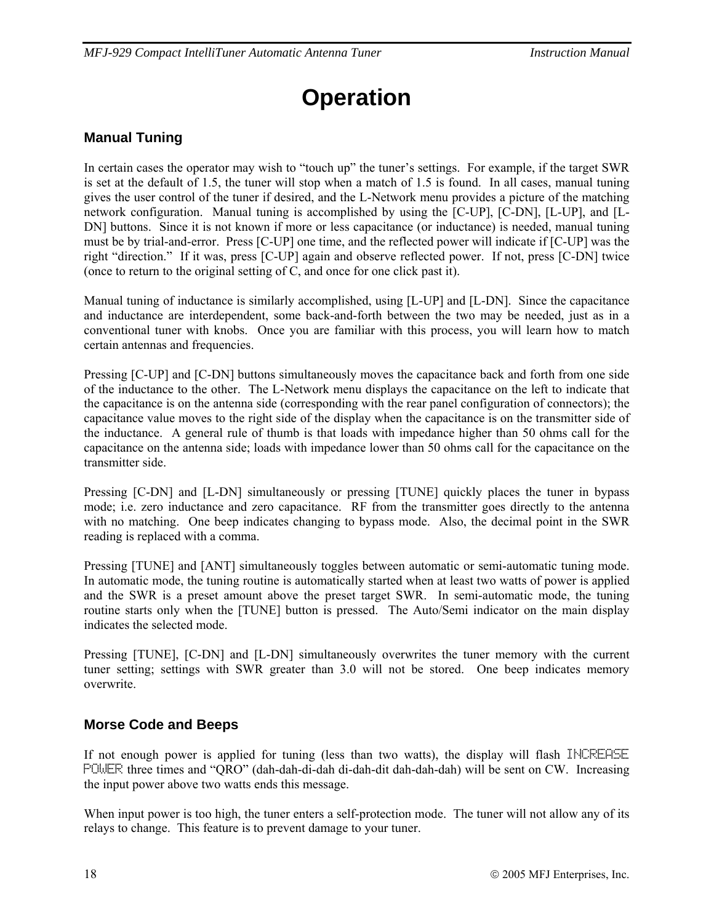# **Operation**

# **Manual Tuning**

In certain cases the operator may wish to "touch up" the tuner's settings. For example, if the target SWR is set at the default of 1.5, the tuner will stop when a match of 1.5 is found. In all cases, manual tuning gives the user control of the tuner if desired, and the L-Network menu provides a picture of the matching network configuration. Manual tuning is accomplished by using the [C-UP], [C-DN], [L-UP], and [L-DN] buttons. Since it is not known if more or less capacitance (or inductance) is needed, manual tuning must be by trial-and-error. Press [C-UP] one time, and the reflected power will indicate if [C-UP] was the right "direction." If it was, press [C-UP] again and observe reflected power. If not, press [C-DN] twice (once to return to the original setting of C, and once for one click past it).

Manual tuning of inductance is similarly accomplished, using [L-UP] and [L-DN]. Since the capacitance and inductance are interdependent, some back-and-forth between the two may be needed, just as in a conventional tuner with knobs. Once you are familiar with this process, you will learn how to match certain antennas and frequencies.

Pressing [C-UP] and [C-DN] buttons simultaneously moves the capacitance back and forth from one side of the inductance to the other. The L-Network menu displays the capacitance on the left to indicate that the capacitance is on the antenna side (corresponding with the rear panel configuration of connectors); the capacitance value moves to the right side of the display when the capacitance is on the transmitter side of the inductance. A general rule of thumb is that loads with impedance higher than 50 ohms call for the capacitance on the antenna side; loads with impedance lower than 50 ohms call for the capacitance on the transmitter side.

Pressing [C-DN] and [L-DN] simultaneously or pressing [TUNE] quickly places the tuner in bypass mode; i.e. zero inductance and zero capacitance. RF from the transmitter goes directly to the antenna with no matching. One beep indicates changing to bypass mode. Also, the decimal point in the SWR reading is replaced with a comma.

Pressing [TUNE] and [ANT] simultaneously toggles between automatic or semi-automatic tuning mode. In automatic mode, the tuning routine is automatically started when at least two watts of power is applied and the SWR is a preset amount above the preset target SWR. In semi-automatic mode, the tuning routine starts only when the [TUNE] button is pressed. The Auto/Semi indicator on the main display indicates the selected mode.

Pressing [TUNE], [C-DN] and [L-DN] simultaneously overwrites the tuner memory with the current tuner setting; settings with SWR greater than 3.0 will not be stored. One beep indicates memory overwrite.

# **Morse Code and Beeps**

If not enough power is applied for tuning (less than two watts), the display will flash INCREASE POWER three times and "QRO" (dah-dah-di-dah di-dah-dit dah-dah-dah) will be sent on CW. Increasing the input power above two watts ends this message.

When input power is too high, the tuner enters a self-protection mode. The tuner will not allow any of its relays to change. This feature is to prevent damage to your tuner.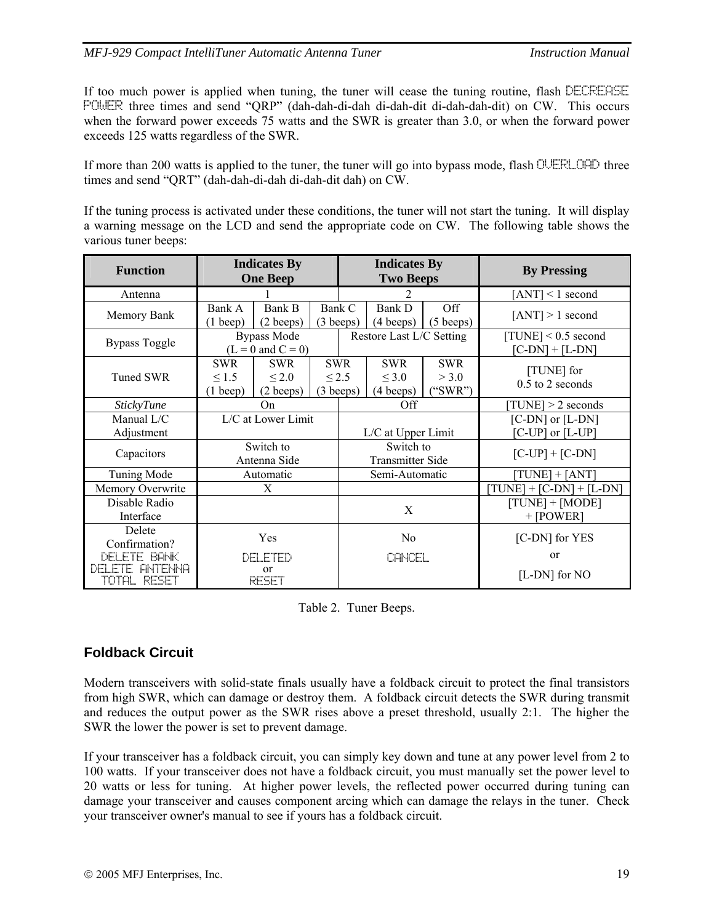If too much power is applied when tuning, the tuner will cease the tuning routine, flash DECREASE POWER three times and send "QRP" (dah-dah-di-dah di-dah-dit di-dah-dah-dit) on CW. This occurs when the forward power exceeds 75 watts and the SWR is greater than 3.0, or when the forward power exceeds 125 watts regardless of the SWR.

If more than 200 watts is applied to the tuner, the tuner will go into bypass mode, flash  $\Box\Box\Box\Box\Box$  three times and send "QRT" (dah-dah-di-dah di-dah-dit dah) on CW.

If the tuning process is activated under these conditions, the tuner will not start the tuning. It will display a warning message on the LCD and send the appropriate code on CW. The following table shows the various tuner beeps:

| <b>Function</b>                                     | <b>Indicates By</b><br><b>One Beep</b>        |                                                | <b>Indicates By</b><br><b>Two Beeps</b> |                         |                                                 | <b>By Pressing</b>             |                                          |
|-----------------------------------------------------|-----------------------------------------------|------------------------------------------------|-----------------------------------------|-------------------------|-------------------------------------------------|--------------------------------|------------------------------------------|
| Antenna                                             |                                               |                                                |                                         |                         | 2                                               |                                | $[ANT] < 1$ second                       |
| Memory Bank                                         | Bank A<br>$(1 \text{keep})$                   | Bank B<br>$(2 \text{beeps})$                   |                                         | Bank C<br>$(3 \text{្)$ | Bank D<br>$(4 \text{ keeps})$                   | Off<br>$(5 \text{្)$           | $[ANT] > 1$ second                       |
| <b>Bypass Toggle</b>                                |                                               | <b>Bypass Mode</b><br>$(L = 0$ and $C = 0$ )   |                                         |                         | Restore Last L/C Setting                        |                                | $[TUNE] < 0.5$ second<br>$[C-DN]+[L-DN]$ |
| <b>Tuned SWR</b>                                    | <b>SWR</b><br>$\leq 1.5$<br>$(1 \text{keep})$ | <b>SWR</b><br>$\leq 2.0$<br>$(2 \text{beeps})$ | $\leq 2.5$                              | <b>SWR</b><br>(3 beeps) | <b>SWR</b><br>$\leq 3.0$<br>$(4 \text{ keeps})$ | <b>SWR</b><br>> 3.0<br>("SWR") | [TUNE] for<br>0.5 to 2 seconds           |
| StickyTune                                          | On                                            |                                                | Off                                     |                         |                                                 | $[TUNE] > 2$ seconds           |                                          |
| Manual L/C<br>Adjustment                            |                                               | L/C at Lower Limit                             |                                         |                         | L/C at Upper Limit                              |                                | $[C-DN]$ or $[L-DN]$<br>[C-UP] or [L-UP] |
| Capacitors                                          | Switch to<br>Antenna Side                     |                                                | Switch to<br><b>Transmitter Side</b>    |                         |                                                 | $[C-UP] + [C-DN]$              |                                          |
| Tuning Mode                                         |                                               | Automatic                                      |                                         |                         | Semi-Automatic                                  |                                | $[TUNE] + [ANT]$                         |
| Memory Overwrite                                    |                                               | X                                              |                                         |                         |                                                 |                                | $[TUNE] + [C-DN] + [L-DN]$               |
| Disable Radio<br>Interface                          |                                               |                                                |                                         |                         | X                                               |                                | $[TUNE] + [MODE]$<br>$+$ [POWER]         |
| Delete<br>Confirmation?                             |                                               | Yes                                            |                                         |                         | N <sub>0</sub>                                  |                                | [C-DN] for YES                           |
| DELETE<br>BANK<br>DELETE.<br>ANTENNA<br>TOTAL RESET |                                               | DELETED<br><sub>or</sub><br><b>RESET</b>       |                                         |                         | CANCEL                                          |                                | <sub>or</sub><br>[L-DN] for NO           |

# **Foldback Circuit**

Modern transceivers with solid-state finals usually have a foldback circuit to protect the final transistors from high SWR, which can damage or destroy them. A foldback circuit detects the SWR during transmit and reduces the output power as the SWR rises above a preset threshold, usually 2:1. The higher the SWR the lower the power is set to prevent damage.

If your transceiver has a foldback circuit, you can simply key down and tune at any power level from 2 to 100 watts. If your transceiver does not have a foldback circuit, you must manually set the power level to 20 watts or less for tuning. At higher power levels, the reflected power occurred during tuning can damage your transceiver and causes component arcing which can damage the relays in the tuner. Check your transceiver owner's manual to see if yours has a foldback circuit.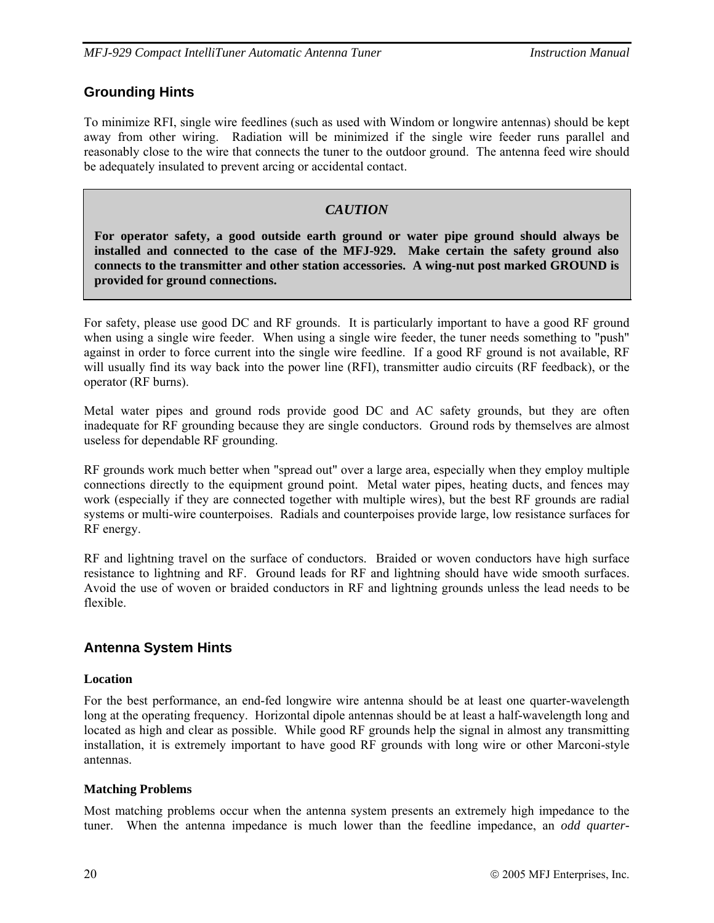## **Grounding Hints**

To minimize RFI, single wire feedlines (such as used with Windom or longwire antennas) should be kept away from other wiring. Radiation will be minimized if the single wire feeder runs parallel and reasonably close to the wire that connects the tuner to the outdoor ground. The antenna feed wire should be adequately insulated to prevent arcing or accidental contact.

### *CAUTION*

**For operator safety, a good outside earth ground or water pipe ground should always be installed and connected to the case of the MFJ-929. Make certain the safety ground also connects to the transmitter and other station accessories. A wing-nut post marked GROUND is provided for ground connections.** 

For safety, please use good DC and RF grounds. It is particularly important to have a good RF ground when using a single wire feeder. When using a single wire feeder, the tuner needs something to "push" against in order to force current into the single wire feedline. If a good RF ground is not available, RF will usually find its way back into the power line (RFI), transmitter audio circuits (RF feedback), or the operator (RF burns).

Metal water pipes and ground rods provide good DC and AC safety grounds, but they are often inadequate for RF grounding because they are single conductors. Ground rods by themselves are almost useless for dependable RF grounding.

RF grounds work much better when "spread out" over a large area, especially when they employ multiple connections directly to the equipment ground point. Metal water pipes, heating ducts, and fences may work (especially if they are connected together with multiple wires), but the best RF grounds are radial systems or multi-wire counterpoises. Radials and counterpoises provide large, low resistance surfaces for RF energy.

RF and lightning travel on the surface of conductors. Braided or woven conductors have high surface resistance to lightning and RF. Ground leads for RF and lightning should have wide smooth surfaces. Avoid the use of woven or braided conductors in RF and lightning grounds unless the lead needs to be flexible.

# **Antenna System Hints**

#### **Location**

For the best performance, an end-fed longwire wire antenna should be at least one quarter-wavelength long at the operating frequency. Horizontal dipole antennas should be at least a half-wavelength long and located as high and clear as possible. While good RF grounds help the signal in almost any transmitting installation, it is extremely important to have good RF grounds with long wire or other Marconi-style antennas.

#### **Matching Problems**

Most matching problems occur when the antenna system presents an extremely high impedance to the tuner. When the antenna impedance is much lower than the feedline impedance, an *odd quarter-*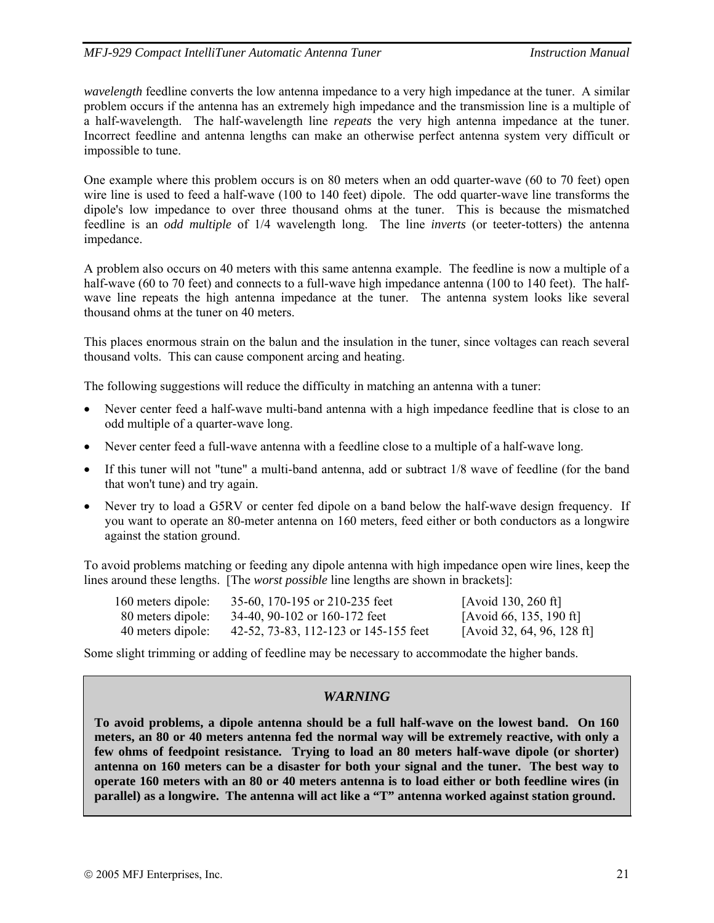*wavelength* feedline converts the low antenna impedance to a very high impedance at the tuner. A similar problem occurs if the antenna has an extremely high impedance and the transmission line is a multiple of a half-wavelength. The half-wavelength line *repeats* the very high antenna impedance at the tuner. Incorrect feedline and antenna lengths can make an otherwise perfect antenna system very difficult or impossible to tune.

One example where this problem occurs is on 80 meters when an odd quarter-wave (60 to 70 feet) open wire line is used to feed a half-wave (100 to 140 feet) dipole. The odd quarter-wave line transforms the dipole's low impedance to over three thousand ohms at the tuner. This is because the mismatched feedline is an *odd multiple* of 1/4 wavelength long. The line *inverts* (or teeter-totters) the antenna impedance.

A problem also occurs on 40 meters with this same antenna example. The feedline is now a multiple of a half-wave (60 to 70 feet) and connects to a full-wave high impedance antenna (100 to 140 feet). The halfwave line repeats the high antenna impedance at the tuner. The antenna system looks like several thousand ohms at the tuner on 40 meters.

This places enormous strain on the balun and the insulation in the tuner, since voltages can reach several thousand volts. This can cause component arcing and heating.

The following suggestions will reduce the difficulty in matching an antenna with a tuner:

- Never center feed a half-wave multi-band antenna with a high impedance feedline that is close to an odd multiple of a quarter-wave long.
- Never center feed a full-wave antenna with a feedline close to a multiple of a half-wave long.
- If this tuner will not "tune" a multi-band antenna, add or subtract 1/8 wave of feedline (for the band that won't tune) and try again.
- Never try to load a G5RV or center fed dipole on a band below the half-wave design frequency. If you want to operate an 80-meter antenna on 160 meters, feed either or both conductors as a longwire against the station ground.

To avoid problems matching or feeding any dipole antenna with high impedance open wire lines, keep the lines around these lengths. [The *worst possible* line lengths are shown in brackets]:

| 160 meters dipole: | 35-60, 170-195 or 210-235 feet        | [Avoid 130, 260 ft]        |
|--------------------|---------------------------------------|----------------------------|
| 80 meters dipole:  | 34-40, 90-102 or 160-172 feet         | [Avoid 66, 135, 190 ft]    |
| 40 meters dipole:  | 42-52, 73-83, 112-123 or 145-155 feet | [Avoid 32, 64, 96, 128 ft] |

Some slight trimming or adding of feedline may be necessary to accommodate the higher bands.

#### *WARNING*

**To avoid problems, a dipole antenna should be a full half-wave on the lowest band. On 160 meters, an 80 or 40 meters antenna fed the normal way will be extremely reactive, with only a few ohms of feedpoint resistance. Trying to load an 80 meters half-wave dipole (or shorter) antenna on 160 meters can be a disaster for both your signal and the tuner. The best way to operate 160 meters with an 80 or 40 meters antenna is to load either or both feedline wires (in parallel) as a longwire. The antenna will act like a "T" antenna worked against station ground.**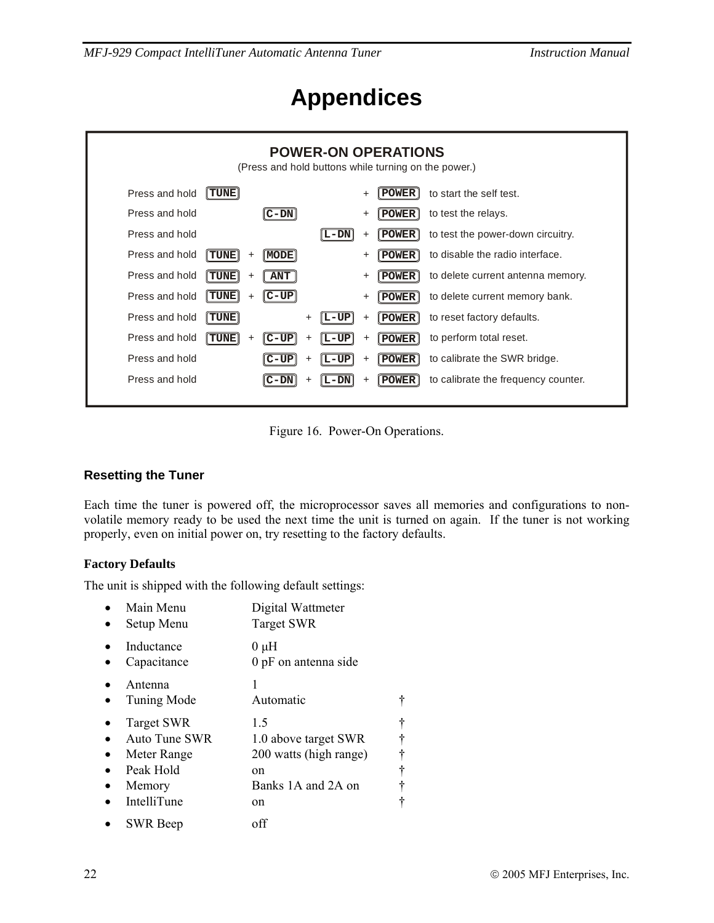# **Appendices**





#### **Resetting the Tuner**

Each time the tuner is powered off, the microprocessor saves all memories and configurations to nonvolatile memory ready to be used the next time the unit is turned on again. If the tuner is not working properly, even on initial power on, try resetting to the factory defaults.

#### **Factory Defaults**

The unit is shipped with the following default settings:

| Main Menu<br>Setup Menu                                                                 | Digital Wattmeter<br><b>Target SWR</b>                                                  |                            |
|-----------------------------------------------------------------------------------------|-----------------------------------------------------------------------------------------|----------------------------|
| Inductance<br>Capacitance                                                               | $0 \mu H$<br>0 pF on antenna side                                                       |                            |
| Antenna<br>Tuning Mode                                                                  | Automatic                                                                               | ÷                          |
| <b>Target SWR</b><br>Auto Tune SWR<br>Meter Range<br>Peak Hold<br>Memory<br>IntelliTune | 1.5<br>1.0 above target SWR<br>200 watts (high range)<br>on<br>Banks 1A and 2A on<br>on | ÷<br>÷<br>÷<br>÷<br>÷<br>÷ |
| <b>SWR</b> Beep                                                                         | off                                                                                     |                            |
|                                                                                         |                                                                                         |                            |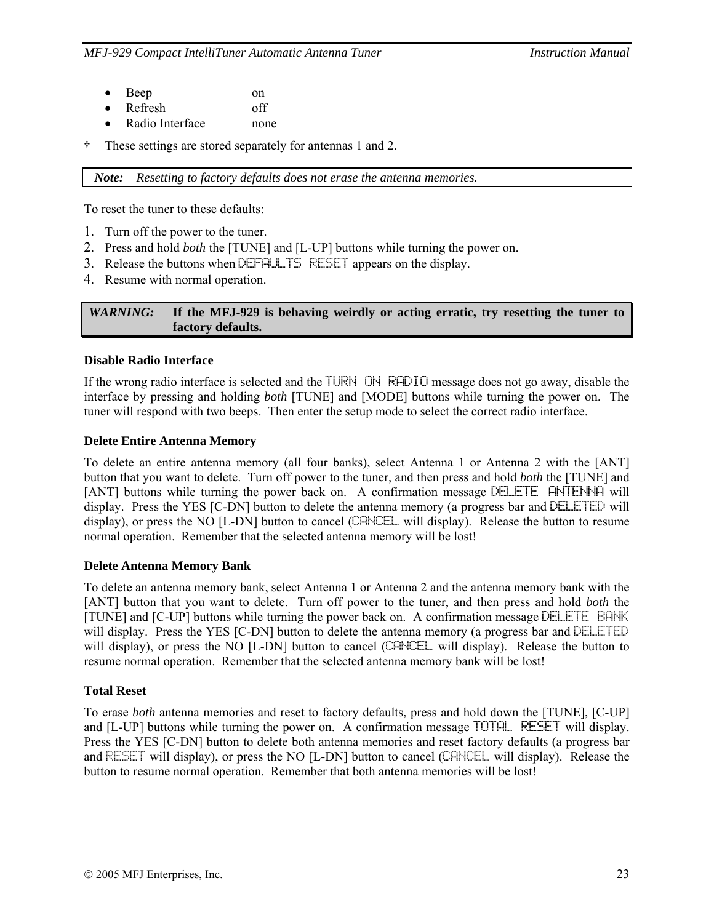- Beep on
- Refresh off
- Radio Interface none
- † These settings are stored separately for antennas 1 and 2.

*Note: Resetting to factory defaults does not erase the antenna memories.* 

To reset the tuner to these defaults:

- 1. Turn off the power to the tuner.
- 2. Press and hold *both* the [TUNE] and [L-UP] buttons while turning the power on.
- 3. Release the buttons when DEFAULTS RESET appears on the display.
- 4. Resume with normal operation.

#### *WARNING:* **If the MFJ-929 is behaving weirdly or acting erratic, try resetting the tuner to factory defaults.**

#### **Disable Radio Interface**

If the wrong radio interface is selected and the TURN ON RADIO message does not go away, disable the interface by pressing and holding *both* [TUNE] and [MODE] buttons while turning the power on. The tuner will respond with two beeps. Then enter the setup mode to select the correct radio interface.

#### **Delete Entire Antenna Memory**

To delete an entire antenna memory (all four banks), select Antenna 1 or Antenna 2 with the [ANT] button that you want to delete. Turn off power to the tuner, and then press and hold *both* the [TUNE] and [ANT] buttons while turning the power back on. A confirmation message DELETE ANTENNA will display. Press the YES [C-DN] button to delete the antenna memory (a progress bar and DELETED will display), or press the NO [L-DN] button to cancel (CHNCEL will display). Release the button to resume normal operation. Remember that the selected antenna memory will be lost!

#### **Delete Antenna Memory Bank**

To delete an antenna memory bank, select Antenna 1 or Antenna 2 and the antenna memory bank with the [ANT] button that you want to delete. Turn off power to the tuner, and then press and hold *both* the [TUNE] and  $[{\rm C-UP}]$  buttons while turning the power back on. A confirmation message DELETE BANK will display. Press the YES [C-DN] button to delete the antenna memory (a progress bar and DELETED will display), or press the NO [L-DN] button to cancel (CANCEL will display). Release the button to resume normal operation. Remember that the selected antenna memory bank will be lost!

#### **Total Reset**

To erase *both* antenna memories and reset to factory defaults, press and hold down the [TUNE], [C-UP] and [L-UP] buttons while turning the power on. A confirmation message TOTAL RESET will display. Press the YES [C-DN] button to delete both antenna memories and reset factory defaults (a progress bar and RESET will display), or press the NO [L-DN] button to cancel (CANCEL will display). Release the button to resume normal operation. Remember that both antenna memories will be lost!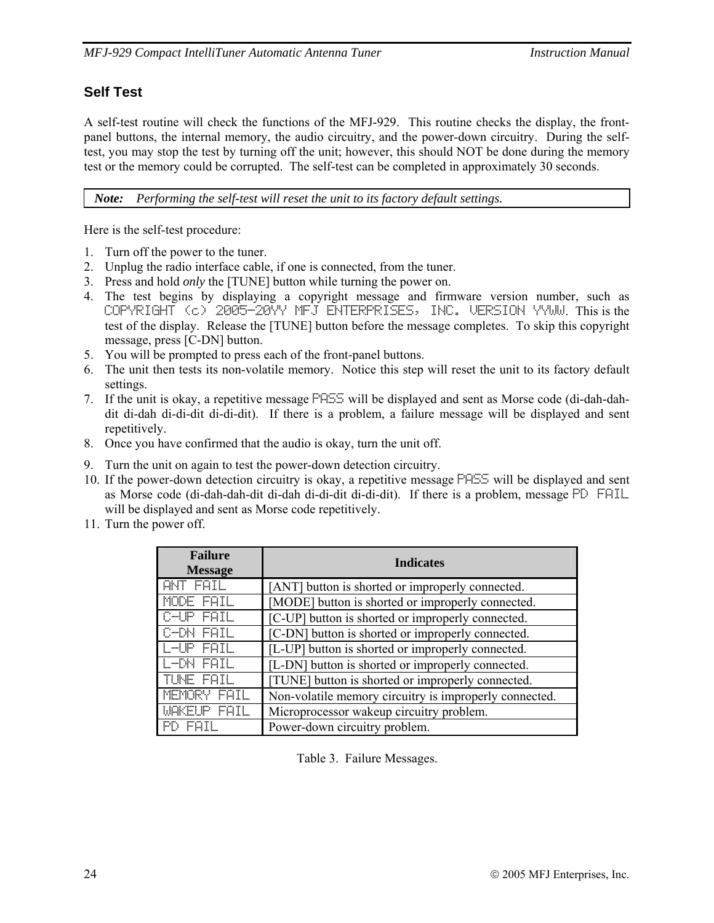## **Self Test**

A self-test routine will check the functions of the MFJ-929. This routine checks the display, the frontpanel buttons, the internal memory, the audio circuitry, and the power-down circuitry. During the selftest, you may stop the test by turning off the unit; however, this should NOT be done during the memory test or the memory could be corrupted. The self-test can be completed in approximately 30 seconds.

*Note: Performing the self-test will reset the unit to its factory default settings.* 

Here is the self-test procedure:

- 1. Turn off the power to the tuner.
- 2. Unplug the radio interface cable, if one is connected, from the tuner.
- 3. Press and hold *only* the [TUNE] button while turning the power on.
- 4. The test begins by displaying a copyright message and firmware version number, such as COPYRIGHT (c) 2005-20YY MFJ ENTERPRISES, INC. VERSION YYWW. This is the test of the display. Release the [TUNE] button before the message completes. To skip this copyright message, press [C-DN] button.
- 5. You will be prompted to press each of the front-panel buttons.
- 6. The unit then tests its non-volatile memory. Notice this step will reset the unit to its factory default settings.
- 7. If the unit is okay, a repetitive message PASS will be displayed and sent as Morse code (di-dah-dahdit di-dah di-di-dit di-di-dit). If there is a problem, a failure message will be displayed and sent repetitively.
- 8. Once you have confirmed that the audio is okay, turn the unit off.
- 9. Turn the unit on again to test the power-down detection circuitry.
- 10. If the power-down detection circuitry is okay, a repetitive message PASS will be displayed and sent as Morse code (di-dah-dah-dit di-dah di-di-dit di-di-dit). If there is a problem, message PD FAIL will be displayed and sent as Morse code repetitively.
- 11. Turn the power off.

| <b>Failure</b><br><b>Message</b> | <b>Indicates</b>                                       |
|----------------------------------|--------------------------------------------------------|
| ΩЫΤ<br>FAIL                      | [ANT] button is shorted or improperly connected.       |
| MODE.<br>FAIL                    | [MODE] button is shorted or improperly connected.      |
| C-UP FAIL                        | [C-UP] button is shorted or improperly connected.      |
| <b>FAIL</b><br>C-DN              | [C-DN] button is shorted or improperly connected.      |
| FAIL.<br>$1 - UP$                | [L-UP] button is shorted or improperly connected.      |
| $\overline{FQ}IL$<br>t –na       | [L-DN] button is shorted or improperly connected.      |
| TUNE.<br>FATI.                   | [TUNE] button is shorted or improperly connected.      |
| FAIL<br>MEMORY                   | Non-volatile memory circuitry is improperly connected. |
| <b>MAKEUP</b><br>FAIL            | Microprocessor wakeup circuitry problem.               |
| PD.                              | Power-down circuitry problem.                          |

Table 3. Failure Messages.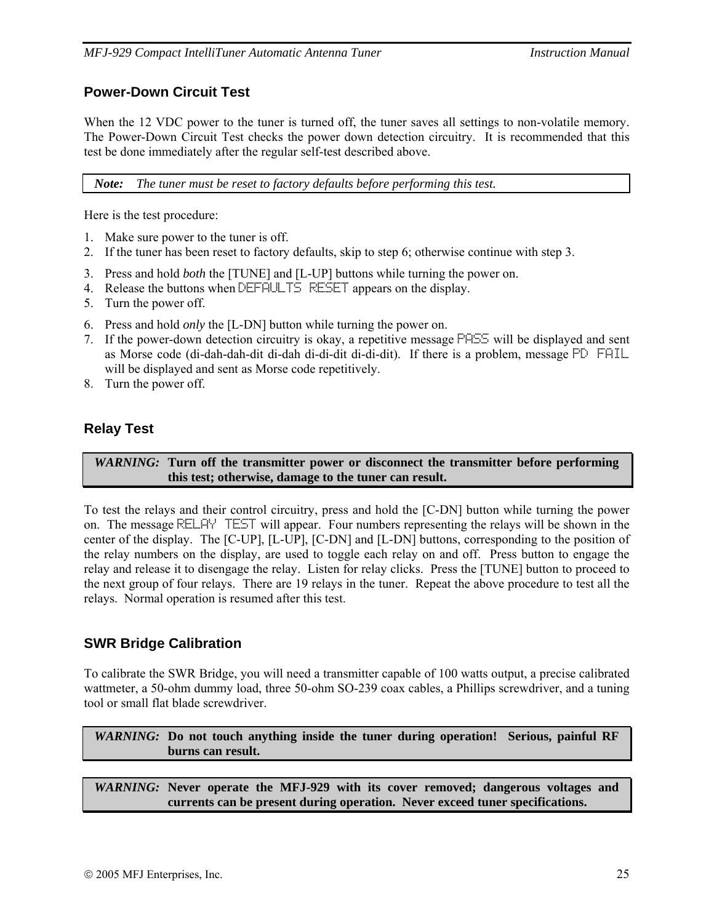# **Power-Down Circuit Test**

When the 12 VDC power to the tuner is turned off, the tuner saves all settings to non-volatile memory. The Power-Down Circuit Test checks the power down detection circuitry. It is recommended that this test be done immediately after the regular self-test described above.

*Note: The tuner must be reset to factory defaults before performing this test.* 

Here is the test procedure:

- 1. Make sure power to the tuner is off.
- 2. If the tuner has been reset to factory defaults, skip to step 6; otherwise continue with step 3.
- 3. Press and hold *both* the [TUNE] and [L-UP] buttons while turning the power on.
- 4. Release the buttons when DEFAULTS RESET appears on the display.
- 5. Turn the power off.
- 6. Press and hold *only* the [L-DN] button while turning the power on.
- 7. If the power-down detection circuitry is okay, a repetitive message PASS will be displayed and sent as Morse code (di-dah-dah-dit di-dah di-di-dit di-di-dit). If there is a problem, message PD FAIL will be displayed and sent as Morse code repetitively.
- 8. Turn the power off.

#### **Relay Test**

*WARNING:* **Turn off the transmitter power or disconnect the transmitter before performing this test; otherwise, damage to the tuner can result.** 

To test the relays and their control circuitry, press and hold the [C-DN] button while turning the power on. The message RELAY TEST will appear. Four numbers representing the relays will be shown in the center of the display. The [C-UP], [L-UP], [C-DN] and [L-DN] buttons, corresponding to the position of the relay numbers on the display, are used to toggle each relay on and off. Press button to engage the relay and release it to disengage the relay. Listen for relay clicks. Press the [TUNE] button to proceed to the next group of four relays. There are 19 relays in the tuner. Repeat the above procedure to test all the relays. Normal operation is resumed after this test.

#### **SWR Bridge Calibration**

To calibrate the SWR Bridge, you will need a transmitter capable of 100 watts output, a precise calibrated wattmeter, a 50-ohm dummy load, three 50-ohm SO-239 coax cables, a Phillips screwdriver, and a tuning tool or small flat blade screwdriver.

*WARNING:* **Do not touch anything inside the tuner during operation! Serious, painful RF burns can result.** 

*WARNING:* **Never operate the MFJ-929 with its cover removed; dangerous voltages and currents can be present during operation. Never exceed tuner specifications.**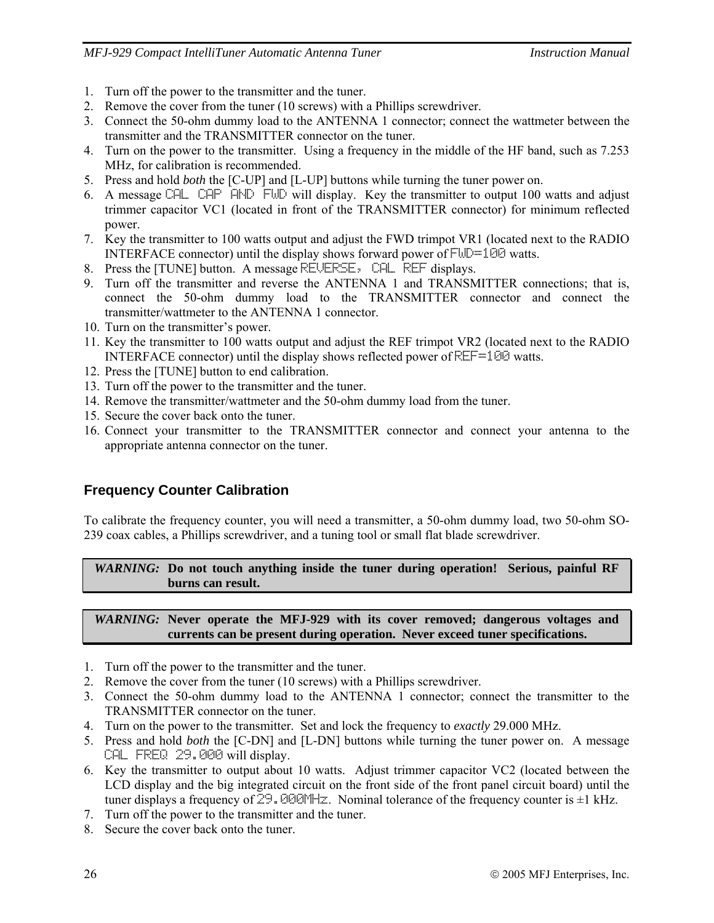- 1. Turn off the power to the transmitter and the tuner.
- 2. Remove the cover from the tuner (10 screws) with a Phillips screwdriver.
- 3. Connect the 50-ohm dummy load to the ANTENNA 1 connector; connect the wattmeter between the transmitter and the TRANSMITTER connector on the tuner.
- 4. Turn on the power to the transmitter. Using a frequency in the middle of the HF band, such as 7.253 MHz, for calibration is recommended.
- 5. Press and hold *both* the [C-UP] and [L-UP] buttons while turning the tuner power on.
- 6. A message CAL CAP AND FWD will display. Key the transmitter to output 100 watts and adjust trimmer capacitor VC1 (located in front of the TRANSMITTER connector) for minimum reflected power.
- 7. Key the transmitter to 100 watts output and adjust the FWD trimpot VR1 (located next to the RADIO INTERFACE connector) until the display shows forward power of  $FW = 100$  watts.
- 8. Press the [TUNE] button. A message REVERSE, CAL REF displays.
- 9. Turn off the transmitter and reverse the ANTENNA 1 and TRANSMITTER connections; that is, connect the 50-ohm dummy load to the TRANSMITTER connector and connect the transmitter/wattmeter to the ANTENNA 1 connector.
- 10. Turn on the transmitter's power.
- 11. Key the transmitter to 100 watts output and adjust the REF trimpot VR2 (located next to the RADIO INTERFACE connector) until the display shows reflected power of REF=100 watts.
- 12. Press the [TUNE] button to end calibration.
- 13. Turn off the power to the transmitter and the tuner.
- 14. Remove the transmitter/wattmeter and the 50-ohm dummy load from the tuner.
- 15. Secure the cover back onto the tuner.
- 16. Connect your transmitter to the TRANSMITTER connector and connect your antenna to the appropriate antenna connector on the tuner.

# **Frequency Counter Calibration**

To calibrate the frequency counter, you will need a transmitter, a 50-ohm dummy load, two 50-ohm SO-239 coax cables, a Phillips screwdriver, and a tuning tool or small flat blade screwdriver.

*WARNING:* **Do not touch anything inside the tuner during operation! Serious, painful RF burns can result.** 

*WARNING:* **Never operate the MFJ-929 with its cover removed; dangerous voltages and currents can be present during operation. Never exceed tuner specifications.** 

- 1. Turn off the power to the transmitter and the tuner.
- 2. Remove the cover from the tuner (10 screws) with a Phillips screwdriver.
- 3. Connect the 50-ohm dummy load to the ANTENNA 1 connector; connect the transmitter to the TRANSMITTER connector on the tuner.
- 4. Turn on the power to the transmitter. Set and lock the frequency to *exactly* 29.000 MHz.
- 5. Press and hold *both* the [C-DN] and [L-DN] buttons while turning the tuner power on. A message CAL FREQ 29.000 will display.
- 6. Key the transmitter to output about 10 watts. Adjust trimmer capacitor VC2 (located between the LCD display and the big integrated circuit on the front side of the front panel circuit board) until the tuner displays a frequency of  $29.000\text{ Hz}$ . Nominal tolerance of the frequency counter is  $\pm 1$  kHz.
- 7. Turn off the power to the transmitter and the tuner.
- 8. Secure the cover back onto the tuner.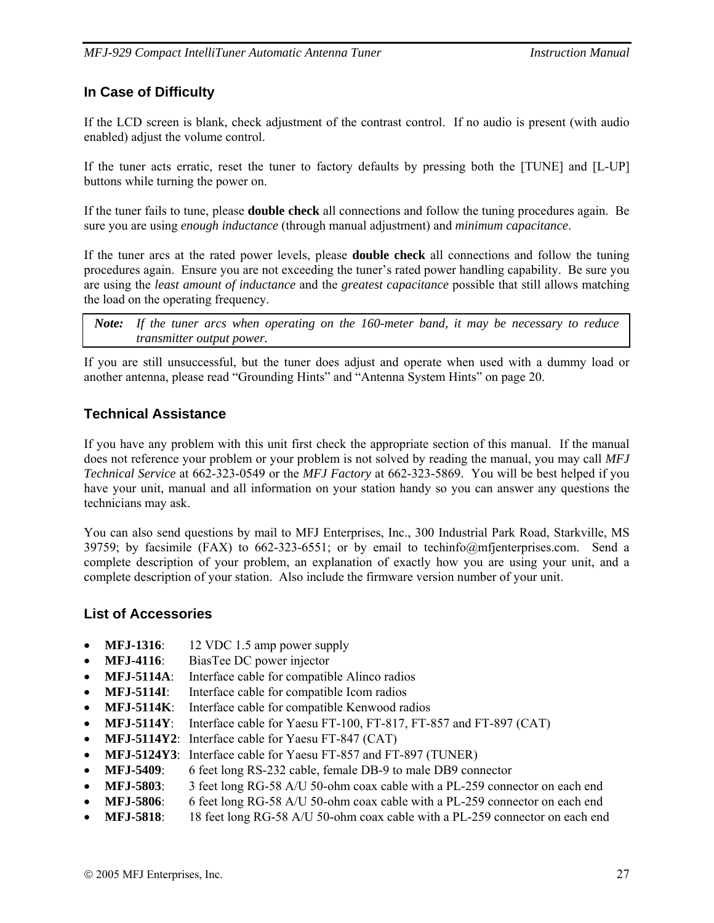## **In Case of Difficulty**

If the LCD screen is blank, check adjustment of the contrast control. If no audio is present (with audio enabled) adjust the volume control.

If the tuner acts erratic, reset the tuner to factory defaults by pressing both the [TUNE] and [L-UP] buttons while turning the power on.

If the tuner fails to tune, please **double check** all connections and follow the tuning procedures again. Be sure you are using *enough inductance* (through manual adjustment) and *minimum capacitance*.

If the tuner arcs at the rated power levels, please **double check** all connections and follow the tuning procedures again. Ensure you are not exceeding the tuner's rated power handling capability. Be sure you are using the *least amount of inductance* and the *greatest capacitance* possible that still allows matching the load on the operating frequency.

*Note: If the tuner arcs when operating on the 160-meter band, it may be necessary to reduce transmitter output power.* 

If you are still unsuccessful, but the tuner does adjust and operate when used with a dummy load or another antenna, please read "Grounding Hints" and "Antenna System Hints" on page 20.

# **Technical Assistance**

If you have any problem with this unit first check the appropriate section of this manual. If the manual does not reference your problem or your problem is not solved by reading the manual, you may call *MFJ Technical Service* at 662-323-0549 or the *MFJ Factory* at 662-323-5869. You will be best helped if you have your unit, manual and all information on your station handy so you can answer any questions the technicians may ask.

You can also send questions by mail to MFJ Enterprises, Inc., 300 Industrial Park Road, Starkville, MS 39759; by facsimile (FAX) to 662-323-6551; or by email to techinfo@mfjenterprises.com. Send a complete description of your problem, an explanation of exactly how you are using your unit, and a complete description of your station. Also include the firmware version number of your unit.

#### **List of Accessories**

- **MFJ-1316**: 12 VDC 1.5 amp power supply
- **MFJ-4116**: BiasTee DC power injector
- **MFJ-5114A**: Interface cable for compatible Alinco radios
- **MFJ-5114I**: Interface cable for compatible Icom radios
- **MFJ-5114K**: Interface cable for compatible Kenwood radios
- **MFJ-5114Y**: Interface cable for Yaesu FT-100, FT-817, FT-857 and FT-897 (CAT)
- **MFJ-5114Y2**: Interface cable for Yaesu FT-847 (CAT)
- **MFJ-5124Y3**: Interface cable for Yaesu FT-857 and FT-897 (TUNER)
- **MFJ-5409**: 6 feet long RS-232 cable, female DB-9 to male DB9 connector
- **MFJ-5803**: 3 feet long RG-58 A/U 50-ohm coax cable with a PL-259 connector on each end
- **MFJ-5806**: 6 feet long RG-58 A/U 50-ohm coax cable with a PL-259 connector on each end
- **MFJ-5818**: 18 feet long RG-58 A/U 50-ohm coax cable with a PL-259 connector on each end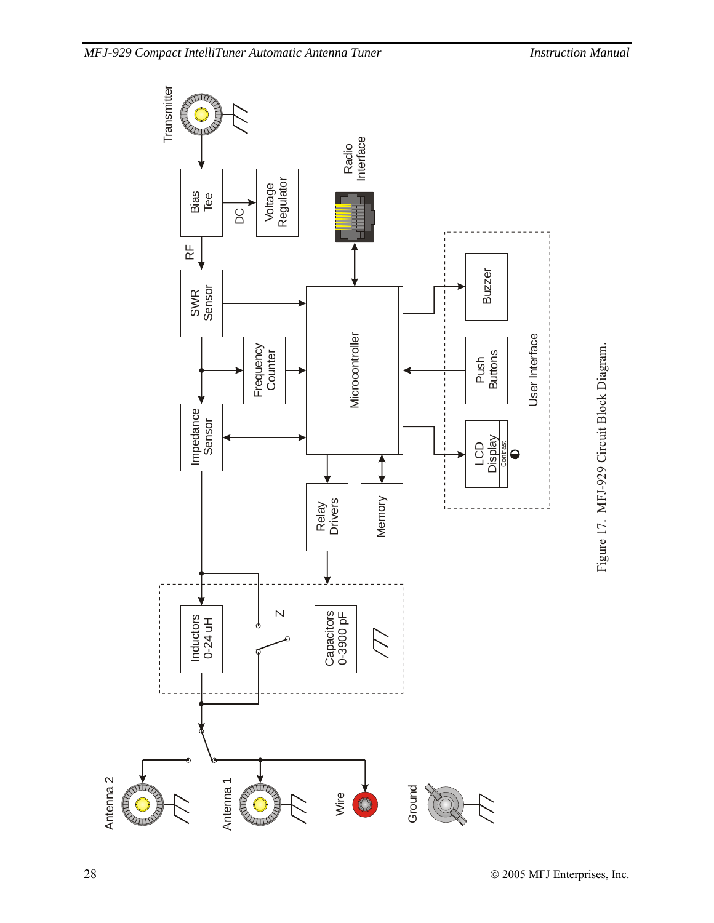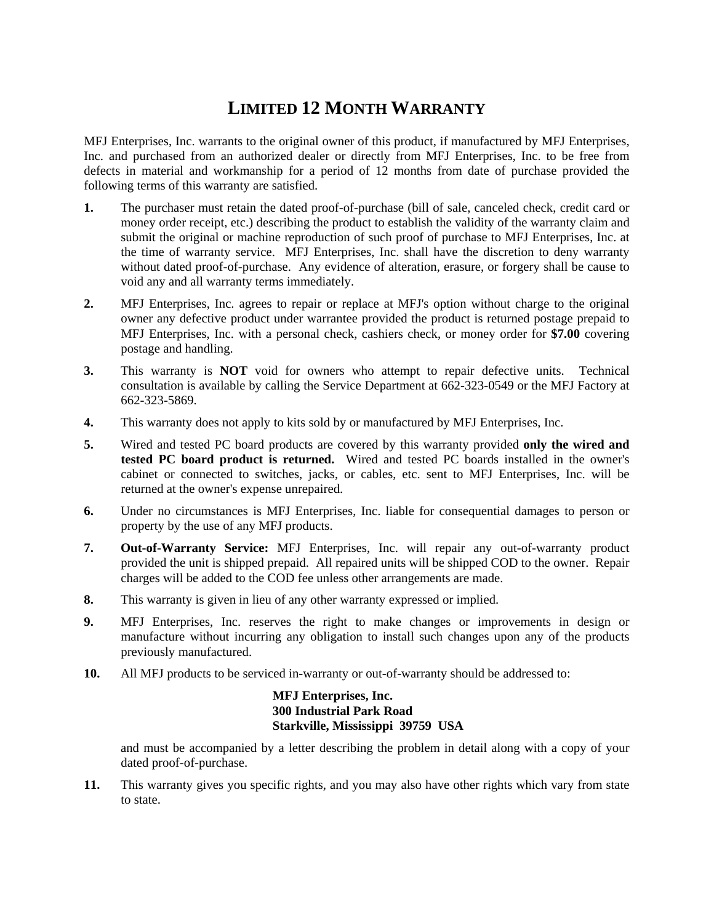# **LIMITED 12 MONTH WARRANTY**

MFJ Enterprises, Inc. warrants to the original owner of this product, if manufactured by MFJ Enterprises, Inc. and purchased from an authorized dealer or directly from MFJ Enterprises, Inc. to be free from defects in material and workmanship for a period of 12 months from date of purchase provided the following terms of this warranty are satisfied.

- **1.** The purchaser must retain the dated proof-of-purchase (bill of sale, canceled check, credit card or money order receipt, etc.) describing the product to establish the validity of the warranty claim and submit the original or machine reproduction of such proof of purchase to MFJ Enterprises, Inc. at the time of warranty service. MFJ Enterprises, Inc. shall have the discretion to deny warranty without dated proof-of-purchase. Any evidence of alteration, erasure, or forgery shall be cause to void any and all warranty terms immediately.
- **2.** MFJ Enterprises, Inc. agrees to repair or replace at MFJ's option without charge to the original owner any defective product under warrantee provided the product is returned postage prepaid to MFJ Enterprises, Inc. with a personal check, cashiers check, or money order for **\$7.00** covering postage and handling.
- **3.** This warranty is **NOT** void for owners who attempt to repair defective units. Technical consultation is available by calling the Service Department at 662-323-0549 or the MFJ Factory at 662-323-5869.
- **4.** This warranty does not apply to kits sold by or manufactured by MFJ Enterprises, Inc.
- **5.** Wired and tested PC board products are covered by this warranty provided **only the wired and tested PC board product is returned.** Wired and tested PC boards installed in the owner's cabinet or connected to switches, jacks, or cables, etc. sent to MFJ Enterprises, Inc. will be returned at the owner's expense unrepaired.
- **6.** Under no circumstances is MFJ Enterprises, Inc. liable for consequential damages to person or property by the use of any MFJ products.
- **7. Out-of-Warranty Service:** MFJ Enterprises, Inc. will repair any out-of-warranty product provided the unit is shipped prepaid. All repaired units will be shipped COD to the owner. Repair charges will be added to the COD fee unless other arrangements are made.
- **8.** This warranty is given in lieu of any other warranty expressed or implied.
- **9.** MFJ Enterprises, Inc. reserves the right to make changes or improvements in design or manufacture without incurring any obligation to install such changes upon any of the products previously manufactured.
- **10.** All MFJ products to be serviced in-warranty or out-of-warranty should be addressed to:

#### **MFJ Enterprises, Inc. 300 Industrial Park Road Starkville, Mississippi 39759 USA**

and must be accompanied by a letter describing the problem in detail along with a copy of your dated proof-of-purchase.

**11.** This warranty gives you specific rights, and you may also have other rights which vary from state to state.